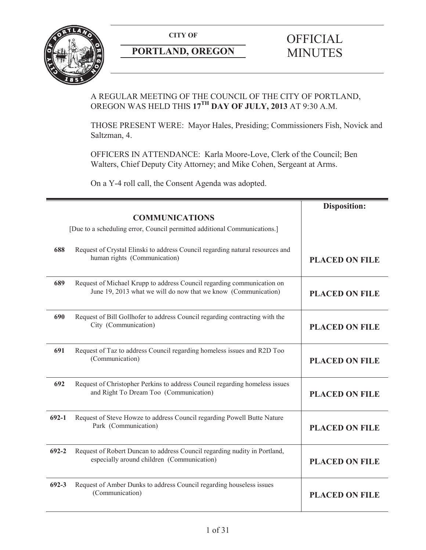

# **PORTLAND, OREGON MINUTES**

# **CITY OF** OFFICIAL

# A REGULAR MEETING OF THE COUNCIL OF THE CITY OF PORTLAND, OREGON WAS HELD THIS **17TH DAY OF JULY, 2013** AT 9:30 A.M.

THOSE PRESENT WERE: Mayor Hales, Presiding; Commissioners Fish, Novick and Saltzman, 4.

OFFICERS IN ATTENDANCE: Karla Moore-Love, Clerk of the Council; Ben Walters, Chief Deputy City Attorney; and Mike Cohen, Sergeant at Arms.

On a Y-4 roll call, the Consent Agenda was adopted.

|           |                                                                                                                                          | <b>Disposition:</b>   |
|-----------|------------------------------------------------------------------------------------------------------------------------------------------|-----------------------|
|           | <b>COMMUNICATIONS</b>                                                                                                                    |                       |
|           | [Due to a scheduling error, Council permitted additional Communications.]                                                                |                       |
| 688       | Request of Crystal Elinski to address Council regarding natural resources and<br>human rights (Communication)                            | <b>PLACED ON FILE</b> |
| 689       | Request of Michael Krupp to address Council regarding communication on<br>June 19, 2013 what we will do now that we know (Communication) | <b>PLACED ON FILE</b> |
| 690       | Request of Bill Gollhofer to address Council regarding contracting with the<br>City (Communication)                                      | <b>PLACED ON FILE</b> |
| 691       | Request of Taz to address Council regarding homeless issues and R2D Too<br>(Communication)                                               | <b>PLACED ON FILE</b> |
| 692       | Request of Christopher Perkins to address Council regarding homeless issues<br>and Right To Dream Too (Communication)                    | <b>PLACED ON FILE</b> |
| $692 - 1$ | Request of Steve Howze to address Council regarding Powell Butte Nature<br>Park (Communication)                                          | <b>PLACED ON FILE</b> |
| $692 - 2$ | Request of Robert Duncan to address Council regarding nudity in Portland,<br>especially around children (Communication)                  | <b>PLACED ON FILE</b> |
| $692 - 3$ | Request of Amber Dunks to address Council regarding houseless issues<br>(Communication)                                                  | <b>PLACED ON FILE</b> |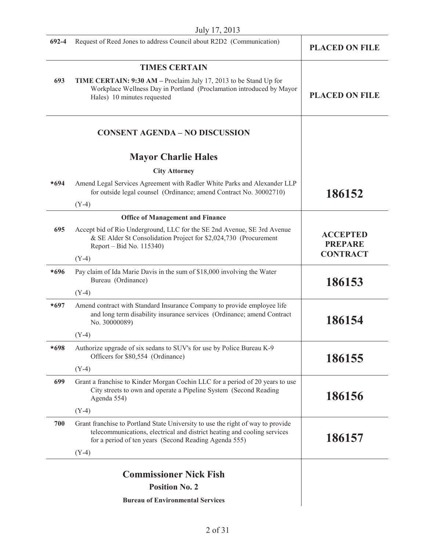| July 17, 2013 |                                                                                                                                                                                                                      |                                   |
|---------------|----------------------------------------------------------------------------------------------------------------------------------------------------------------------------------------------------------------------|-----------------------------------|
| $692 - 4$     | Request of Reed Jones to address Council about R2D2 (Communication)                                                                                                                                                  | <b>PLACED ON FILE</b>             |
|               | <b>TIMES CERTAIN</b>                                                                                                                                                                                                 |                                   |
| 693           | TIME CERTAIN: 9:30 AM - Proclaim July 17, 2013 to be Stand Up for<br>Workplace Wellness Day in Portland (Proclamation introduced by Mayor<br>Hales) 10 minutes requested                                             | <b>PLACED ON FILE</b>             |
|               | <b>CONSENT AGENDA - NO DISCUSSION</b>                                                                                                                                                                                |                                   |
|               | <b>Mayor Charlie Hales</b>                                                                                                                                                                                           |                                   |
|               | <b>City Attorney</b>                                                                                                                                                                                                 |                                   |
| $*694$        | Amend Legal Services Agreement with Radler White Parks and Alexander LLP<br>for outside legal counsel (Ordinance; amend Contract No. 30002710)                                                                       | 186152                            |
|               | $(Y-4)$                                                                                                                                                                                                              |                                   |
|               | <b>Office of Management and Finance</b>                                                                                                                                                                              |                                   |
| 695           | Accept bid of Rio Underground, LLC for the SE 2nd Avenue, SE 3rd Avenue<br>& SE Alder St Consolidation Project for \$2,024,730 (Procurement<br>Report – Bid No. 115340)                                              | <b>ACCEPTED</b><br><b>PREPARE</b> |
|               | $(Y-4)$                                                                                                                                                                                                              | <b>CONTRACT</b>                   |
| $*696$        | Pay claim of Ida Marie Davis in the sum of \$18,000 involving the Water<br>Bureau (Ordinance)                                                                                                                        | 186153                            |
|               | $(Y-4)$                                                                                                                                                                                                              |                                   |
| $*697$        | Amend contract with Standard Insurance Company to provide employee life<br>and long term disability insurance services (Ordinance; amend Contract<br>No. 30000089)                                                   | 186154                            |
|               | $(Y-4)$                                                                                                                                                                                                              |                                   |
| $*698$        | Authorize upgrade of six sedans to SUV's for use by Police Bureau K-9<br>Officers for \$80,554 (Ordinance)                                                                                                           | 186155                            |
|               | $(Y-4)$                                                                                                                                                                                                              |                                   |
| 699           | Grant a franchise to Kinder Morgan Cochin LLC for a period of 20 years to use<br>City streets to own and operate a Pipeline System (Second Reading<br>Agenda 554)                                                    | 186156                            |
|               | $(Y-4)$                                                                                                                                                                                                              |                                   |
| 700           | Grant franchise to Portland State University to use the right of way to provide<br>telecommunications, electrical and district heating and cooling services<br>for a period of ten years (Second Reading Agenda 555) | 186157                            |
|               | $(Y-4)$                                                                                                                                                                                                              |                                   |
|               |                                                                                                                                                                                                                      |                                   |
|               | <b>Commissioner Nick Fish</b><br><b>Position No. 2</b>                                                                                                                                                               |                                   |
|               |                                                                                                                                                                                                                      |                                   |
|               | <b>Bureau of Environmental Services</b>                                                                                                                                                                              |                                   |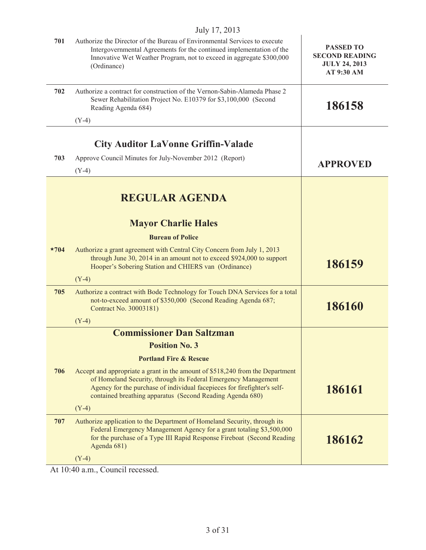| 701         | Authorize the Director of the Bureau of Environmental Services to execute<br>Intergovernmental Agreements for the continued implementation of the<br>Innovative Wet Weather Program, not to exceed in aggregate \$300,000<br>(Ordinance)                                                 | <b>PASSED TO</b><br><b>SECOND READING</b><br><b>JULY 24, 2013</b><br>AT 9:30 AM |
|-------------|------------------------------------------------------------------------------------------------------------------------------------------------------------------------------------------------------------------------------------------------------------------------------------------|---------------------------------------------------------------------------------|
| 702         | Authorize a contract for construction of the Vernon-Sabin-Alameda Phase 2<br>Sewer Rehabilitation Project No. E10379 for \$3,100,000 (Second<br>Reading Agenda 684)                                                                                                                      | 186158                                                                          |
|             | $(Y-4)$                                                                                                                                                                                                                                                                                  |                                                                                 |
|             | <b>City Auditor LaVonne Griffin-Valade</b>                                                                                                                                                                                                                                               |                                                                                 |
| 703         | Approve Council Minutes for July-November 2012 (Report)                                                                                                                                                                                                                                  |                                                                                 |
|             | $(Y-4)$                                                                                                                                                                                                                                                                                  | <b>APPROVED</b>                                                                 |
|             | <b>REGULAR AGENDA</b>                                                                                                                                                                                                                                                                    |                                                                                 |
|             | <b>Mayor Charlie Hales</b>                                                                                                                                                                                                                                                               |                                                                                 |
|             | <b>Bureau of Police</b>                                                                                                                                                                                                                                                                  |                                                                                 |
| $\star$ 704 | Authorize a grant agreement with Central City Concern from July 1, 2013<br>through June 30, 2014 in an amount not to exceed \$924,000 to support<br>Hooper's Sobering Station and CHIERS van (Ordinance)                                                                                 | 186159                                                                          |
|             | $(Y-4)$                                                                                                                                                                                                                                                                                  |                                                                                 |
| 705         | Authorize a contract with Bode Technology for Touch DNA Services for a total<br>not-to-exceed amount of \$350,000 (Second Reading Agenda 687;<br>Contract No. 30003181)                                                                                                                  | 186160                                                                          |
|             | $(Y-4)$                                                                                                                                                                                                                                                                                  |                                                                                 |
|             | <b>Commissioner Dan Saltzman</b>                                                                                                                                                                                                                                                         |                                                                                 |
|             | <b>Position No. 3</b>                                                                                                                                                                                                                                                                    |                                                                                 |
|             | <b>Portland Fire &amp; Rescue</b>                                                                                                                                                                                                                                                        |                                                                                 |
| 706         | Accept and appropriate a grant in the amount of \$518,240 from the Department<br>of Homeland Security, through its Federal Emergency Management<br>Agency for the purchase of individual facepieces for firefighter's self-<br>contained breathing apparatus (Second Reading Agenda 680) | 186161                                                                          |
|             | $(Y-4)$                                                                                                                                                                                                                                                                                  |                                                                                 |
| 707         | Authorize application to the Department of Homeland Security, through its<br>Federal Emergency Management Agency for a grant totaling \$3,500,000<br>for the purchase of a Type III Rapid Response Fireboat (Second Reading<br>Agenda 681)                                               | 186162                                                                          |
|             | $(Y-4)$                                                                                                                                                                                                                                                                                  |                                                                                 |
|             |                                                                                                                                                                                                                                                                                          |                                                                                 |

At 10:40 a.m., Council recessed.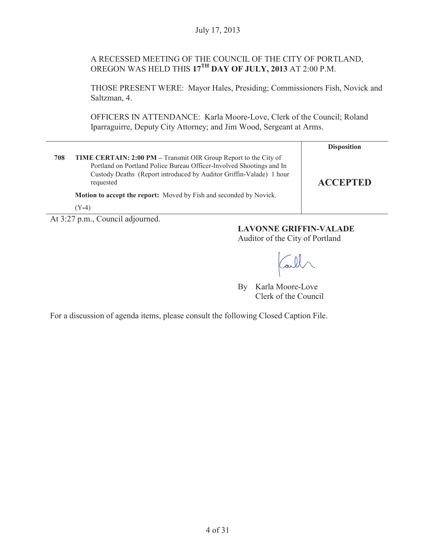# A RECESSED MEETING OF THE COUNCIL OF THE CITY OF PORTLAND, OREGON WAS HELD THIS **17TH DAY OF JULY, 2013** AT 2:00 P.M.

THOSE PRESENT WERE: Mayor Hales, Presiding; Commissioners Fish, Novick and Saltzman, 4.

OFFICERS IN ATTENDANCE: Karla Moore-Love, Clerk of the Council; Roland Iparraguirre, Deputy City Attorney; and Jim Wood, Sergeant at Arms.

|     |                                                                                                                                                                                                                                     | <b>Disposition</b> |
|-----|-------------------------------------------------------------------------------------------------------------------------------------------------------------------------------------------------------------------------------------|--------------------|
| 708 | <b>TIME CERTAIN: 2:00 PM – Transmit OIR Group Report to the City of</b><br>Portland on Portland Police Bureau Officer-Involved Shootings and In<br>Custody Deaths (Report introduced by Auditor Griffin-Valade) 1 hour<br>requested | <b>ACCEPTED</b>    |
|     | <b>Motion to accept the report:</b> Moved by Fish and seconded by Novick.                                                                                                                                                           |                    |
|     | $Y - 4$                                                                                                                                                                                                                             |                    |

At 3:27 p.m., Council adjourned.

# **LAVONNE GRIFFIN-VALADE**

Auditor of the City of Portland

Call

By Karla Moore-Love Clerk of the Council

For a discussion of agenda items, please consult the following Closed Caption File.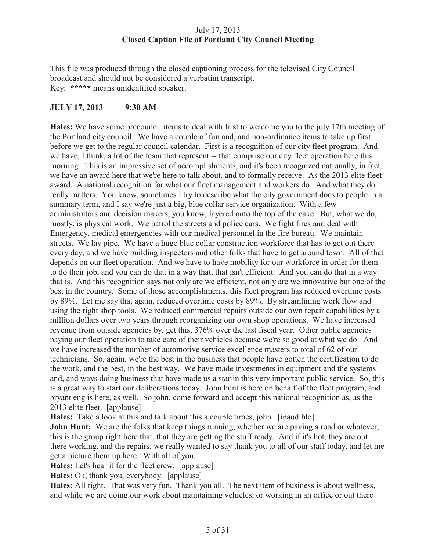# July 17, 2013 **Closed Caption File of Portland City Council Meeting**

This file was produced through the closed captioning process for the televised City Council broadcast and should not be considered a verbatim transcript. Key: **\*\*\*\*\*** means unidentified speaker.

# **JULY 17, 2013 9:30 AM**

**Hales:** We have some precouncil items to deal with first to welcome you to the july 17th meeting of the Portland city council. We have a couple of fun and, and non-ordinance items to take up first before we get to the regular council calendar. First is a recognition of our city fleet program. And we have, I think, a lot of the team that represent -- that comprise our city fleet operation here this morning. This is an impressive set of accomplishments, and it's been recognized nationally, in fact, we have an award here that we're here to talk about, and to formally receive. As the 2013 elite fleet award. A national recognition for what our fleet management and workers do. And what they do really matters. You know, sometimes I try to describe what the city government does to people in a summary term, and I say we're just a big, blue collar service organization. With a few administrators and decision makers, you know, layered onto the top of the cake. But, what we do, mostly, is physical work. We patrol the streets and police cars. We fight fires and deal with Emergency, medical emergencies with our medical personnel in the fire bureau. We maintain streets. We lay pipe. We have a huge blue collar construction workforce that has to get out there every day, and we have building inspectors and other folks that have to get around town. All of that depends on our fleet operation. And we have to have mobility for our workforce in order for them to do their job, and you can do that in a way that, that isn't efficient. And you can do that in a way that is. And this recognition says not only are we efficient, not only are we innovative but one of the best in the country. Some of those accomplishments, this fleet program has reduced overtime costs by 89%. Let me say that again, reduced overtime costs by 89%. By streamlining work flow and using the right shop tools. We reduced commercial repairs outside our own repair capabilities by a million dollars over two years through reorganizing our own shop operations. We have increased revenue from outside agencies by, get this, 376% over the last fiscal year. Other public agencies paying our fleet operation to take care of their vehicles because we're so good at what we do. And we have increased the number of automotive service excellence masters to total of 62 of our technicians. So, again, we're the best in the business that people have gotten the certification to do the work, and the best, in the best way. We have made investments in equipment and the systems and, and ways doing business that have made us a star in this very important public service. So, this is a great way to start our deliberations today. John hunt is here on behalf of the fleet program, and bryant eng is here, as well. So john, come forward and accept this national recognition as, as the 2013 elite fleet. [applause]

**Hales:** Take a look at this and talk about this a couple times, john. [inaudible]

**John Hunt:** We are the folks that keep things running, whether we are paving a road or whatever, this is the group right here that, that they are getting the stuff ready. And if it's hot, they are out there working, and the repairs, we really wanted to say thank you to all of our staff today, and let me get a picture them up here. With all of you.

**Hales:** Let's hear it for the fleet crew. [applause]

**Hales:** Ok, thank you, everybody. [applause]

**Hales:** All right. That was very fun. Thank you all. The next item of business is about wellness, and while we are doing our work about maintaining vehicles, or working in an office or out there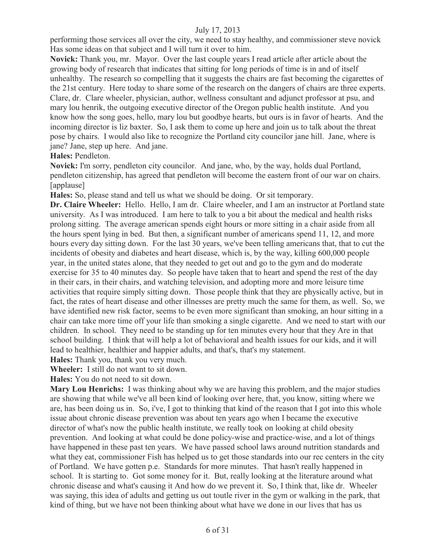performing those services all over the city, we need to stay healthy, and commissioner steve novick Has some ideas on that subject and I will turn it over to him.

**Novick:** Thank you, mr. Mayor. Over the last couple years I read article after article about the growing body of research that indicates that sitting for long periods of time is in and of itself unhealthy. The research so compelling that it suggests the chairs are fast becoming the cigarettes of the 21st century. Here today to share some of the research on the dangers of chairs are three experts. Clare, dr. Clare wheeler, physician, author, wellness consultant and adjunct professor at psu, and mary lou henrik, the outgoing executive director of the Oregon public health institute. And you know how the song goes, hello, mary lou but goodbye hearts, but ours is in favor of hearts. And the incoming director is liz baxter. So, I ask them to come up here and join us to talk about the threat pose by chairs. I would also like to recognize the Portland city councilor jane hill. Jane, where is jane? Jane, step up here. And jane.

**Hales:** Pendleton.

**Novick:** I'm sorry, pendleton city councilor. And jane, who, by the way, holds dual Portland, pendleton citizenship, has agreed that pendleton will become the eastern front of our war on chairs. [applause]

**Hales:** So, please stand and tell us what we should be doing. Or sit temporary.

**Dr. Claire Wheeler:** Hello. Hello, I am dr. Claire wheeler, and I am an instructor at Portland state university. As I was introduced. I am here to talk to you a bit about the medical and health risks prolong sitting. The average american spends eight hours or more sitting in a chair aside from all the hours spent lying in bed. But then, a significant number of americans spend 11, 12, and more hours every day sitting down. For the last 30 years, we've been telling americans that, that to cut the incidents of obesity and diabetes and heart disease, which is, by the way, killing 600,000 people year, in the united states alone, that they needed to get out and go to the gym and do moderate exercise for 35 to 40 minutes day. So people have taken that to heart and spend the rest of the day in their cars, in their chairs, and watching television, and adopting more and more leisure time activities that require simply sitting down. Those people think that they are physically active, but in fact, the rates of heart disease and other illnesses are pretty much the same for them, as well. So, we have identified new risk factor, seems to be even more significant than smoking, an hour sitting in a chair can take more time off your life than smoking a single cigarette. And we need to start with our children. In school. They need to be standing up for ten minutes every hour that they Are in that school building. I think that will help a lot of behavioral and health issues for our kids, and it will lead to healthier, healthier and happier adults, and that's, that's my statement.

**Hales:** Thank you, thank you very much.

**Wheeler:** I still do not want to sit down.

**Hales:** You do not need to sit down.

**Mary Lou Henrichs:** I was thinking about why we are having this problem, and the major studies are showing that while we've all been kind of looking over here, that, you know, sitting where we are, has been doing us in. So, i've, I got to thinking that kind of the reason that I got into this whole issue about chronic disease prevention was about ten years ago when I became the executive director of what's now the public health institute, we really took on looking at child obesity prevention. And looking at what could be done policy-wise and practice-wise, and a lot of things have happened in these past ten years. We have passed school laws around nutrition standards and what they eat, commissioner Fish has helped us to get those standards into our rec centers in the city of Portland. We have gotten p.e. Standards for more minutes. That hasn't really happened in school. It is starting to. Got some money for it. But, really looking at the literature around what chronic disease and what's causing it And how do we prevent it. So, I think that, like dr. Wheeler was saying, this idea of adults and getting us out toutle river in the gym or walking in the park, that kind of thing, but we have not been thinking about what have we done in our lives that has us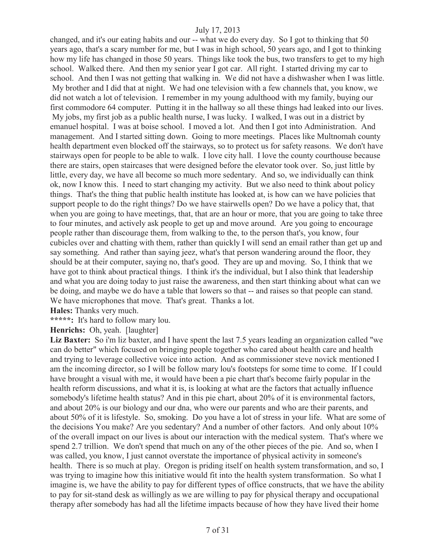changed, and it's our eating habits and our -- what we do every day. So I got to thinking that 50 years ago, that's a scary number for me, but I was in high school, 50 years ago, and I got to thinking how my life has changed in those 50 years. Things like took the bus, two transfers to get to my high school. Walked there. And then my senior year I got car. All right. I started driving my car to school. And then I was not getting that walking in. We did not have a dishwasher when I was little. My brother and I did that at night. We had one television with a few channels that, you know, we did not watch a lot of television. I remember in my young adulthood with my family, buying our first commodore 64 computer. Putting it in the hallway so all these things had leaked into our lives. My jobs, my first job as a public health nurse, I was lucky. I walked, I was out in a district by emanuel hospital. I was at boise school. I moved a lot. And then I got into Administration. And management. And I started sitting down. Going to more meetings. Places like Multnomah county health department even blocked off the stairways, so to protect us for safety reasons. We don't have stairways open for people to be able to walk. I love city hall. I love the county courthouse because there are stairs, open staircases that were designed before the elevator took over. So, just little by little, every day, we have all become so much more sedentary. And so, we individually can think ok, now I know this. I need to start changing my activity. But we also need to think about policy things. That's the thing that public health institute has looked at, is how can we have policies that support people to do the right things? Do we have stairwells open? Do we have a policy that, that when you are going to have meetings, that, that are an hour or more, that you are going to take three to four minutes, and actively ask people to get up and move around. Are you going to encourage people rather than discourage them, from walking to the, to the person that's, you know, four cubicles over and chatting with them, rather than quickly I will send an email rather than get up and say something. And rather than saying jeez, what's that person wandering around the floor, they should be at their computer, saying no, that's good. They are up and moving. So, I think that we have got to think about practical things. I think it's the individual, but I also think that leadership and what you are doing today to just raise the awareness, and then start thinking about what can we be doing, and maybe we do have a table that lowers so that -- and raises so that people can stand. We have microphones that move. That's great. Thanks a lot.

**Hales:** Thanks very much.

**\*\*\*\*\*:** It's hard to follow mary lou.

**Henrichs:** Oh, yeah. [laughter]

**Liz Baxter:** So i'm liz baxter, and I have spent the last 7.5 years leading an organization called "we can do better" which focused on bringing people together who cared about health care and health and trying to leverage collective voice into action. And as commissioner steve novick mentioned I am the incoming director, so I will be follow mary lou's footsteps for some time to come. If I could have brought a visual with me, it would have been a pie chart that's become fairly popular in the health reform discussions, and what it is, is looking at what are the factors that actually influence somebody's lifetime health status? And in this pie chart, about 20% of it is environmental factors, and about 20% is our biology and our dna, who were our parents and who are their parents, and about 50% of it is lifestyle. So, smoking. Do you have a lot of stress in your life. What are some of the decisions You make? Are you sedentary? And a number of other factors. And only about 10% of the overall impact on our lives is about our interaction with the medical system. That's where we spend 2.7 trillion. We don't spend that much on any of the other pieces of the pie. And so, when I was called, you know, I just cannot overstate the importance of physical activity in someone's health. There is so much at play. Oregon is priding itself on health system transformation, and so, I was trying to imagine how this initiative would fit into the health system transformation. So what I imagine is, we have the ability to pay for different types of office constructs, that we have the ability to pay for sit-stand desk as willingly as we are willing to pay for physical therapy and occupational therapy after somebody has had all the lifetime impacts because of how they have lived their home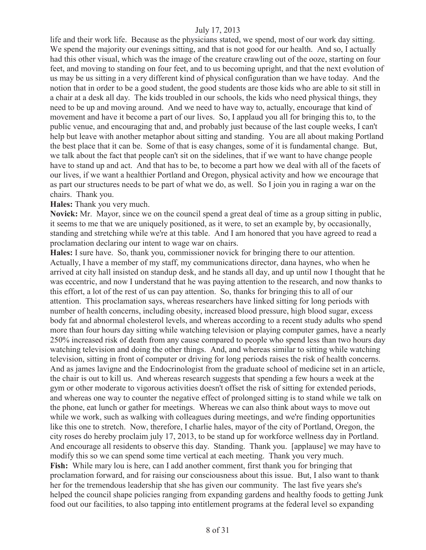life and their work life. Because as the physicians stated, we spend, most of our work day sitting. We spend the majority our evenings sitting, and that is not good for our health. And so, I actually had this other visual, which was the image of the creature crawling out of the ooze, starting on four feet, and moving to standing on four feet, and to us becoming upright, and that the next evolution of us may be us sitting in a very different kind of physical configuration than we have today. And the notion that in order to be a good student, the good students are those kids who are able to sit still in a chair at a desk all day. The kids troubled in our schools, the kids who need physical things, they need to be up and moving around. And we need to have way to, actually, encourage that kind of movement and have it become a part of our lives. So, I applaud you all for bringing this to, to the public venue, and encouraging that and, and probably just because of the last couple weeks, I can't help but leave with another metaphor about sitting and standing. You are all about making Portland the best place that it can be. Some of that is easy changes, some of it is fundamental change. But, we talk about the fact that people can't sit on the sidelines, that if we want to have change people have to stand up and act. And that has to be, to become a part how we deal with all of the facets of our lives, if we want a healthier Portland and Oregon, physical activity and how we encourage that as part our structures needs to be part of what we do, as well. So I join you in raging a war on the chairs. Thank you.

**Hales:** Thank you very much.

**Novick:** Mr. Mayor, since we on the council spend a great deal of time as a group sitting in public, it seems to me that we are uniquely positioned, as it were, to set an example by, by occasionally, standing and stretching while we're at this table. And I am honored that you have agreed to read a proclamation declaring our intent to wage war on chairs.

**Hales:** I sure have. So, thank you, commissioner novick for bringing there to our attention. Actually, I have a member of my staff, my communications director, dana haynes, who when he arrived at city hall insisted on standup desk, and he stands all day, and up until now I thought that he was eccentric, and now I understand that he was paying attention to the research, and now thanks to this effort, a lot of the rest of us can pay attention. So, thanks for bringing this to all of our attention. This proclamation says, whereas researchers have linked sitting for long periods with number of health concerns, including obesity, increased blood pressure, high blood sugar, excess body fat and abnormal cholesterol levels, and whereas according to a recent study adults who spend more than four hours day sitting while watching television or playing computer games, have a nearly 250% increased risk of death from any cause compared to people who spend less than two hours day watching television and doing the other things. And, and whereas similar to sitting while watching television, sitting in front of computer or driving for long periods raises the risk of health concerns. And as james lavigne and the Endocrinologist from the graduate school of medicine set in an article, the chair is out to kill us. And whereas research suggests that spending a few hours a week at the gym or other moderate to vigorous activities doesn't offset the risk of sitting for extended periods, and whereas one way to counter the negative effect of prolonged sitting is to stand while we talk on the phone, eat lunch or gather for meetings. Whereas we can also think about ways to move out while we work, such as walking with colleagues during meetings, and we're finding opportunities like this one to stretch. Now, therefore, I charlie hales, mayor of the city of Portland, Oregon, the city roses do hereby proclaim july 17, 2013, to be stand up for workforce wellness day in Portland. And encourage all residents to observe this day. Standing. Thank you. [applause] we may have to modify this so we can spend some time vertical at each meeting. Thank you very much. **Fish:** While mary lou is here, can I add another comment, first thank you for bringing that proclamation forward, and for raising our consciousness about this issue. But, I also want to thank her for the tremendous leadership that she has given our community. The last five years she's helped the council shape policies ranging from expanding gardens and healthy foods to getting Junk food out our facilities, to also tapping into entitlement programs at the federal level so expanding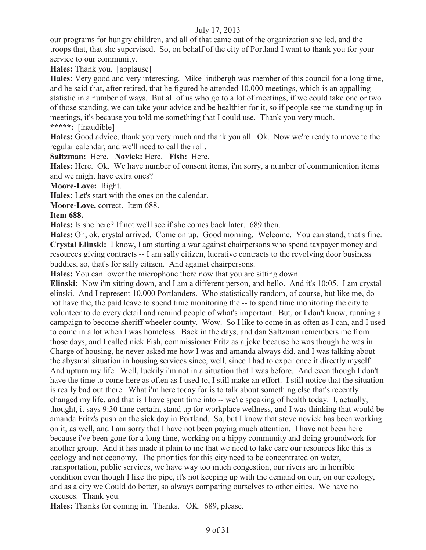our programs for hungry children, and all of that came out of the organization she led, and the troops that, that she supervised. So, on behalf of the city of Portland I want to thank you for your service to our community.

**Hales:** Thank you. [applause]

**Hales:** Very good and very interesting. Mike lindbergh was member of this council for a long time, and he said that, after retired, that he figured he attended 10,000 meetings, which is an appalling statistic in a number of ways. But all of us who go to a lot of meetings, if we could take one or two of those standing, we can take your advice and be healthier for it, so if people see me standing up in meetings, it's because you told me something that I could use. Thank you very much. **\*\*\*\*\*:** [inaudible]

**Hales:** Good advice, thank you very much and thank you all. Ok. Now we're ready to move to the regular calendar, and we'll need to call the roll.

**Saltzman:** Here. **Novick:** Here. **Fish:** Here.

**Hales:** Here. Ok. We have number of consent items, i'm sorry, a number of communication items and we might have extra ones?

**Moore-Love:** Right.

**Hales:** Let's start with the ones on the calendar.

**Moore-Love.** correct. Item 688.

#### **Item 688.**

**Hales:** Is she here? If not we'll see if she comes back later. 689 then.

**Hales:** Oh, ok, crystal arrived. Come on up. Good morning. Welcome. You can stand, that's fine. **Crystal Elinski:** I know, I am starting a war against chairpersons who spend taxpayer money and resources giving contracts -- I am sally citizen, lucrative contracts to the revolving door business buddies, so, that's for sally citizen. And against chairpersons.

**Hales:** You can lower the microphone there now that you are sitting down.

**Elinski:** Now i'm sitting down, and I am a different person, and hello. And it's 10:05. I am crystal elinski. And I represent 10,000 Portlanders. Who statistically random, of course, but like me, do not have the, the paid leave to spend time monitoring the -- to spend time monitoring the city to volunteer to do every detail and remind people of what's important. But, or I don't know, running a campaign to become sheriff wheeler county. Wow. So I like to come in as often as I can, and I used to come in a lot when I was homeless. Back in the days, and dan Saltzman remembers me from those days, and I called nick Fish, commissioner Fritz as a joke because he was though he was in Charge of housing, he never asked me how I was and amanda always did, and I was talking about the abysmal situation in housing services since, well, since I had to experience it directly myself. And upturn my life. Well, luckily i'm not in a situation that I was before. And even though I don't have the time to come here as often as I used to, I still make an effort. I still notice that the situation is really bad out there. What i'm here today for is to talk about something else that's recently changed my life, and that is I have spent time into -- we're speaking of health today. I, actually, thought, it says 9:30 time certain, stand up for workplace wellness, and I was thinking that would be amanda Fritz's push on the sick day in Portland. So, but I know that steve novick has been working on it, as well, and I am sorry that I have not been paying much attention. I have not been here because i've been gone for a long time, working on a hippy community and doing groundwork for another group. And it has made it plain to me that we need to take care our resources like this is ecology and not economy. The priorities for this city need to be concentrated on water, transportation, public services, we have way too much congestion, our rivers are in horrible condition even though I like the pipe, it's not keeping up with the demand on our, on our ecology, and as a city we Could do better, so always comparing ourselves to other cities. We have no excuses. Thank you.

**Hales:** Thanks for coming in. Thanks. OK. 689, please.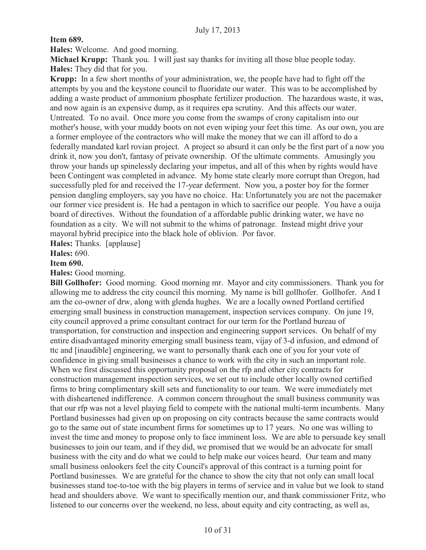**Item 689.**

**Hales:** Welcome. And good morning.

**Michael Krupp:** Thank you. I will just say thanks for inviting all those blue people today. **Hales:** They did that for you.

**Krupp:** In a few short months of your administration, we, the people have had to fight off the attempts by you and the keystone council to fluoridate our water. This was to be accomplished by adding a waste product of ammonium phosphate fertilizer production. The hazardous waste, it was, and now again is an expensive dump, as it requires epa scrutiny. And this affects our water. Untreated. To no avail. Once more you come from the swamps of crony capitalism into our mother's house, with your muddy boots on not even wiping your feet this time. As our own, you are a former employee of the contractors who will make the money that we can ill afford to do a federally mandated karl rovian project. A project so absurd it can only be the first part of a now you drink it, now you don't, fantasy of private ownership. Of the ultimate comments. Amusingly you throw your hands up spinelessly declaring your impetus, and all of this when by rights would have been Contingent was completed in advance. My home state clearly more corrupt than Oregon, had successfully pled for and received the 17-year deferment. Now you, a poster boy for the former pension dangling employers, say you have no choice. Ha: Unfortunately you are not the pacemaker our former vice president is. He had a pentagon in which to sacrifice our people. You have a ouija board of directives. Without the foundation of a affordable public drinking water, we have no foundation as a city. We will not submit to the whims of patronage. Instead might drive your mayoral hybrid precipice into the black hole of oblivion. Por favor.

**Hales:** Thanks. [applause]

**Hales:** 690.

### **Item 690.**

**Hales:** Good morning.

**Bill Gollhofer:** Good morning. Good morning mr. Mayor and city commissioners. Thank you for allowing me to address the city council this morning. My name is bill gollhofer. Gollhofer. And I am the co-owner of drw, along with glenda hughes. We are a locally owned Portland certified emerging small business in construction management, inspection services company. On june 19, city council approved a prime consultant contract for our term for the Portland bureau of transportation, for construction and inspection and engineering support services. On behalf of my entire disadvantaged minority emerging small business team, vijay of 3-d infusion, and edmond of ttc and [inaudible] engineering, we want to personally thank each one of you for your vote of confidence in giving small businesses a chance to work with the city in such an important role. When we first discussed this opportunity proposal on the rfp and other city contracts for construction management inspection services, we set out to include other locally owned certified firms to bring complimentary skill sets and functionality to our team. We were immediately met with disheartened indifference. A common concern throughout the small business community was that our rfp was not a level playing field to compete with the national multi-term incumbents. Many Portland businesses had given up on proposing on city contracts because the same contracts would go to the same out of state incumbent firms for sometimes up to 17 years. No one was willing to invest the time and money to propose only to face imminent loss. We are able to persuade key small businesses to join our team, and if they did, we promised that we would be an advocate for small business with the city and do what we could to help make our voices heard. Our team and many small business onlookers feel the city Council's approval of this contract is a turning point for Portland businesses. We are grateful for the chance to show the city that not only can small local businesses stand toe-to-toe with the big players in terms of service and in value but we look to stand head and shoulders above. We want to specifically mention our, and thank commissioner Fritz, who listened to our concerns over the weekend, no less, about equity and city contracting, as well as,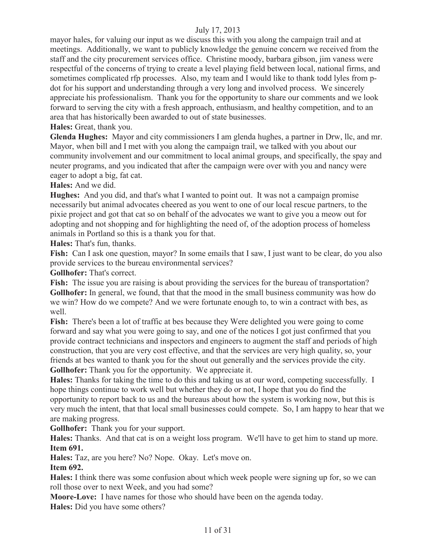mayor hales, for valuing our input as we discuss this with you along the campaign trail and at meetings. Additionally, we want to publicly knowledge the genuine concern we received from the staff and the city procurement services office. Christine moody, barbara gibson, jim vaness were respectful of the concerns of trying to create a level playing field between local, national firms, and sometimes complicated rfp processes. Also, my team and I would like to thank todd lyles from pdot for his support and understanding through a very long and involved process. We sincerely appreciate his professionalism. Thank you for the opportunity to share our comments and we look forward to serving the city with a fresh approach, enthusiasm, and healthy competition, and to an area that has historically been awarded to out of state businesses.

**Hales:** Great, thank you.

**Glenda Hughes:** Mayor and city commissioners I am glenda hughes, a partner in Drw, llc, and mr. Mayor, when bill and I met with you along the campaign trail, we talked with you about our community involvement and our commitment to local animal groups, and specifically, the spay and neuter programs, and you indicated that after the campaign were over with you and nancy were eager to adopt a big, fat cat.

**Hales:** And we did.

**Hughes:** And you did, and that's what I wanted to point out. It was not a campaign promise necessarily but animal advocates cheered as you went to one of our local rescue partners, to the pixie project and got that cat so on behalf of the advocates we want to give you a meow out for adopting and not shopping and for highlighting the need of, of the adoption process of homeless animals in Portland so this is a thank you for that.

**Hales:** That's fun, thanks.

Fish: Can I ask one question, mayor? In some emails that I saw, I just want to be clear, do you also provide services to the bureau environmental services?

**Gollhofer:** That's correct.

Fish: The issue you are raising is about providing the services for the bureau of transportation? **Gollhofer:** In general, we found, that that the mood in the small business community was how do we win? How do we compete? And we were fortunate enough to, to win a contract with bes, as well.

**Fish:** There's been a lot of traffic at bes because they Were delighted you were going to come forward and say what you were going to say, and one of the notices I got just confirmed that you provide contract technicians and inspectors and engineers to augment the staff and periods of high construction, that you are very cost effective, and that the services are very high quality, so, your friends at bes wanted to thank you for the shout out generally and the services provide the city. **Gollhofer:** Thank you for the opportunity. We appreciate it.

**Hales:** Thanks for taking the time to do this and taking us at our word, competing successfully. I hope things continue to work well but whether they do or not, I hope that you do find the opportunity to report back to us and the bureaus about how the system is working now, but this is very much the intent, that that local small businesses could compete. So, I am happy to hear that we are making progress.

**Gollhofer:** Thank you for your support.

**Hales:** Thanks. And that cat is on a weight loss program. We'll have to get him to stand up more. **Item 691.**

**Hales:** Taz, are you here? No? Nope. Okay. Let's move on.

# **Item 692.**

**Hales:** I think there was some confusion about which week people were signing up for, so we can roll those over to next Week, and you had some?

**Moore-Love:** I have names for those who should have been on the agenda today. **Hales:** Did you have some others?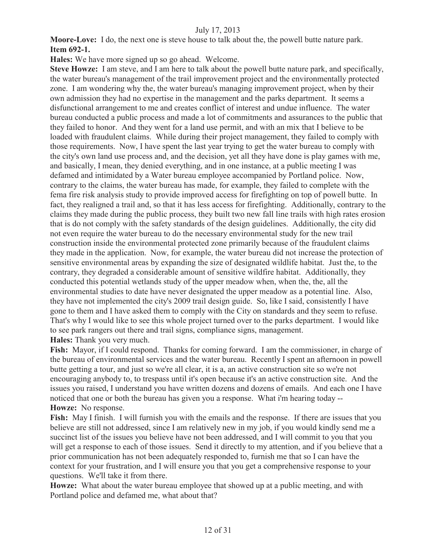**Moore-Love:** I do, the next one is steve house to talk about the, the powell butte nature park. **Item 692-1.**

**Hales:** We have more signed up so go ahead. Welcome.

**Steve Howze:** I am steve, and I am here to talk about the powell butte nature park, and specifically, the water bureau's management of the trail improvement project and the environmentally protected zone. I am wondering why the, the water bureau's managing improvement project, when by their own admission they had no expertise in the management and the parks department. It seems a disfunctional arrangement to me and creates conflict of interest and undue influence. The water bureau conducted a public process and made a lot of commitments and assurances to the public that they failed to honor. And they went for a land use permit, and with an mix that I believe to be loaded with fraudulent claims. While during their project management, they failed to comply with those requirements. Now, I have spent the last year trying to get the water bureau to comply with the city's own land use process and, and the decision, yet all they have done is play games with me, and basically, I mean, they denied everything, and in one instance, at a public meeting I was defamed and intimidated by a Water bureau employee accompanied by Portland police. Now, contrary to the claims, the water bureau has made, for example, they failed to complete with the fema fire risk analysis study to provide improved access for firefighting on top of powell butte. In fact, they realigned a trail and, so that it has less access for firefighting. Additionally, contrary to the claims they made during the public process, they built two new fall line trails with high rates erosion that is do not comply with the safety standards of the design guidelines. Additionally, the city did not even require the water bureau to do the necessary environmental study for the new trail construction inside the environmental protected zone primarily because of the fraudulent claims they made in the application. Now, for example, the water bureau did not increase the protection of sensitive environmental areas by expanding the size of designated wildlife habitat. Just the, to the contrary, they degraded a considerable amount of sensitive wildfire habitat. Additionally, they conducted this potential wetlands study of the upper meadow when, when the, the, all the environmental studies to date have never designated the upper meadow as a potential line. Also, they have not implemented the city's 2009 trail design guide. So, like I said, consistently I have gone to them and I have asked them to comply with the City on standards and they seem to refuse. That's why I would like to see this whole project turned over to the parks department. I would like to see park rangers out there and trail signs, compliance signs, management. **Hales:** Thank you very much.

**Fish:** Mayor, if I could respond. Thanks for coming forward. I am the commissioner, in charge of the bureau of environmental services and the water bureau. Recently I spent an afternoon in powell butte getting a tour, and just so we're all clear, it is a, an active construction site so we're not encouraging anybody to, to trespass until it's open because it's an active construction site. And the issues you raised, I understand you have written dozens and dozens of emails. And each one I have noticed that one or both the bureau has given you a response. What i'm hearing today -- **Howze:** No response.

**Fish:** May I finish. I will furnish you with the emails and the response. If there are issues that you believe are still not addressed, since I am relatively new in my job, if you would kindly send me a succinct list of the issues you believe have not been addressed, and I will commit to you that you will get a response to each of those issues. Send it directly to my attention, and if you believe that a prior communication has not been adequately responded to, furnish me that so I can have the context for your frustration, and I will ensure you that you get a comprehensive response to your questions. We'll take it from there.

**Howze:** What about the water bureau employee that showed up at a public meeting, and with Portland police and defamed me, what about that?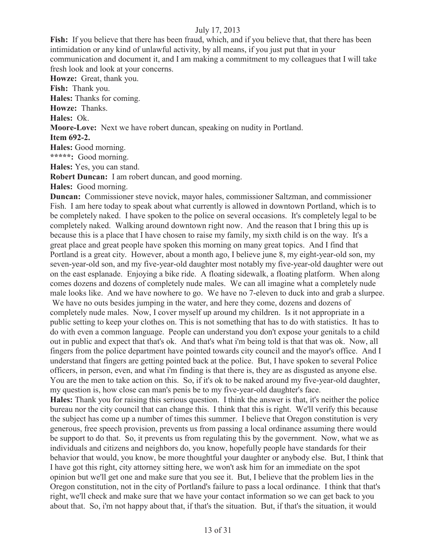**Fish:** If you believe that there has been fraud, which, and if you believe that, that there has been intimidation or any kind of unlawful activity, by all means, if you just put that in your communication and document it, and I am making a commitment to my colleagues that I will take fresh look and look at your concerns.

**Howze:** Great, thank you.

**Fish:** Thank you.

**Hales:** Thanks for coming.

**Howze:** Thanks.

**Hales:** Ok.

**Moore-Love:** Next we have robert duncan, speaking on nudity in Portland.

#### **Item 692-2.**

**Hales:** Good morning.

**\*\*\*\*\*:** Good morning.

**Hales:** Yes, you can stand.

**Robert Duncan:** I am robert duncan, and good morning.

**Hales:** Good morning.

**Duncan:** Commissioner steve novick, mayor hales, commissioner Saltzman, and commissioner Fish. I am here today to speak about what currently is allowed in downtown Portland, which is to be completely naked. I have spoken to the police on several occasions. It's completely legal to be completely naked. Walking around downtown right now. And the reason that I bring this up is because this is a place that I have chosen to raise my family, my sixth child is on the way. It's a great place and great people have spoken this morning on many great topics. And I find that Portland is a great city. However, about a month ago, I believe june 8, my eight-year-old son, my seven-year-old son, and my five-year-old daughter most notably my five-year-old daughter were out on the east esplanade. Enjoying a bike ride. A floating sidewalk, a floating platform. When along comes dozens and dozens of completely nude males. We can all imagine what a completely nude male looks like. And we have nowhere to go. We have no 7-eleven to duck into and grab a slurpee.

We have no outs besides jumping in the water, and here they come, dozens and dozens of completely nude males. Now, I cover myself up around my children. Is it not appropriate in a public setting to keep your clothes on. This is not something that has to do with statistics. It has to do with even a common language. People can understand you don't expose your genitals to a child out in public and expect that that's ok. And that's what i'm being told is that that was ok. Now, all fingers from the police department have pointed towards city council and the mayor's office. And I understand that fingers are getting pointed back at the police. But, I have spoken to several Police officers, in person, even, and what i'm finding is that there is, they are as disgusted as anyone else. You are the men to take action on this. So, if it's ok to be naked around my five-year-old daughter, my question is, how close can man's penis be to my five-year-old daughter's face.

**Hales:** Thank you for raising this serious question. I think the answer is that, it's neither the police bureau nor the city council that can change this. I think that this is right. We'll verify this because the subject has come up a number of times this summer. I believe that Oregon constitution is very generous, free speech provision, prevents us from passing a local ordinance assuming there would be support to do that. So, it prevents us from regulating this by the government. Now, what we as individuals and citizens and neighbors do, you know, hopefully people have standards for their behavior that would, you know, be more thoughtful your daughter or anybody else. But, I think that I have got this right, city attorney sitting here, we won't ask him for an immediate on the spot opinion but we'll get one and make sure that you see it. But, I believe that the problem lies in the Oregon constitution, not in the city of Portland's failure to pass a local ordinance. I think that that's right, we'll check and make sure that we have your contact information so we can get back to you about that. So, i'm not happy about that, if that's the situation. But, if that's the situation, it would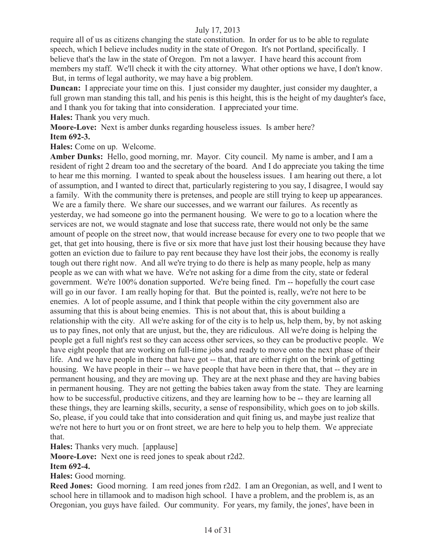require all of us as citizens changing the state constitution. In order for us to be able to regulate speech, which I believe includes nudity in the state of Oregon. It's not Portland, specifically. I believe that's the law in the state of Oregon. I'm not a lawyer. I have heard this account from members my staff. We'll check it with the city attorney. What other options we have, I don't know. But, in terms of legal authority, we may have a big problem.

**Duncan:** I appreciate your time on this. I just consider my daughter, just consider my daughter, a full grown man standing this tall, and his penis is this height, this is the height of my daughter's face, and I thank you for taking that into consideration. I appreciated your time. **Hales:** Thank you very much.

**Moore-Love:** Next is amber dunks regarding houseless issues. Is amber here? **Item 692-3.**

**Hales:** Come on up. Welcome.

**Amber Dunks:** Hello, good morning, mr. Mayor. City council. My name is amber, and I am a resident of right 2 dream too and the secretary of the board. And I do appreciate you taking the time to hear me this morning. I wanted to speak about the houseless issues. I am hearing out there, a lot of assumption, and I wanted to direct that, particularly registering to you say, I disagree, I would say a family. With the community there is pretenses, and people are still trying to keep up appearances. We are a family there. We share our successes, and we warrant our failures. As recently as yesterday, we had someone go into the permanent housing. We were to go to a location where the services are not, we would stagnate and lose that success rate, there would not only be the same amount of people on the street now, that would increase because for every one to two people that we get, that get into housing, there is five or six more that have just lost their housing because they have gotten an eviction due to failure to pay rent because they have lost their jobs, the economy is really tough out there right now. And all we're trying to do there is help as many people, help as many people as we can with what we have. We're not asking for a dime from the city, state or federal government. We're 100% donation supported. We're being fined. I'm -- hopefully the court case will go in our favor. I am really hoping for that. But the pointed is, really, we're not here to be enemies. A lot of people assume, and I think that people within the city government also are assuming that this is about being enemies. This is not about that, this is about building a relationship with the city. All we're asking for of the city is to help us, help them, by, by not asking us to pay fines, not only that are unjust, but the, they are ridiculous. All we're doing is helping the people get a full night's rest so they can access other services, so they can be productive people. We have eight people that are working on full-time jobs and ready to move onto the next phase of their life. And we have people in there that have got -- that, that are either right on the brink of getting housing. We have people in their -- we have people that have been in there that, that -- they are in permanent housing, and they are moving up. They are at the next phase and they are having babies in permanent housing. They are not getting the babies taken away from the state. They are learning how to be successful, productive citizens, and they are learning how to be -- they are learning all these things, they are learning skills, security, a sense of responsibility, which goes on to job skills. So, please, if you could take that into consideration and quit fining us, and maybe just realize that we're not here to hurt you or on front street, we are here to help you to help them. We appreciate that.

**Hales:** Thanks very much. [applause]

**Moore-Love:** Next one is reed jones to speak about r2d2.

#### **Item 692-4.**

**Hales:** Good morning.

**Reed Jones:** Good morning. I am reed jones from r2d2. I am an Oregonian, as well, and I went to school here in tillamook and to madison high school. I have a problem, and the problem is, as an Oregonian, you guys have failed. Our community. For years, my family, the jones', have been in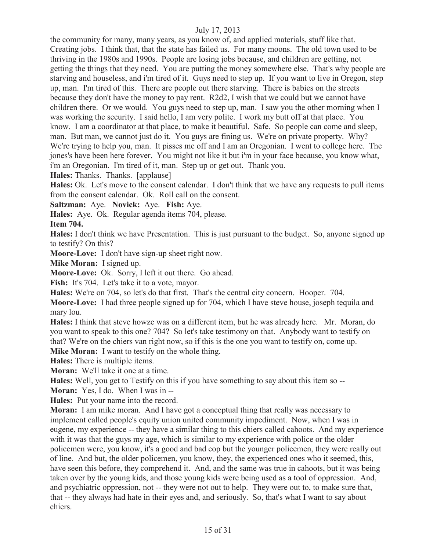the community for many, many years, as you know of, and applied materials, stuff like that. Creating jobs. I think that, that the state has failed us. For many moons. The old town used to be thriving in the 1980s and 1990s. People are losing jobs because, and children are getting, not getting the things that they need. You are putting the money somewhere else. That's why people are starving and houseless, and i'm tired of it. Guys need to step up. If you want to live in Oregon, step up, man. I'm tired of this. There are people out there starving. There is babies on the streets because they don't have the money to pay rent. R2d2, I wish that we could but we cannot have children there. Or we would. You guys need to step up, man. I saw you the other morning when I was working the security. I said hello, I am very polite. I work my butt off at that place. You know. I am a coordinator at that place, to make it beautiful. Safe. So people can come and sleep, man. But man, we cannot just do it. You guys are fining us. We're on private property. Why? We're trying to help you, man. It pisses me off and I am an Oregonian. I went to college here. The jones's have been here forever. You might not like it but i'm in your face because, you know what, i'm an Oregonian. I'm tired of it, man. Step up or get out. Thank you.

**Hales:** Thanks. Thanks. [applause]

**Hales:** Ok. Let's move to the consent calendar. I don't think that we have any requests to pull items from the consent calendar. Ok. Roll call on the consent.

**Saltzman:** Aye. **Novick:** Aye. **Fish:** Aye.

**Hales:** Aye. Ok. Regular agenda items 704, please.

**Item 704.**

**Hales:** I don't think we have Presentation. This is just pursuant to the budget. So, anyone signed up to testify? On this?

**Moore-Love:** I don't have sign-up sheet right now.

**Mike Moran:** I signed up.

**Moore-Love:** Ok. Sorry, I left it out there. Go ahead.

Fish: It's 704. Let's take it to a vote, mayor.

**Hales:** We're on 704, so let's do that first. That's the central city concern. Hooper. 704.

**Moore-Love:** I had three people signed up for 704, which I have steve house, joseph tequila and mary lou.

**Hales:** I think that steve howze was on a different item, but he was already here. Mr. Moran, do you want to speak to this one? 704? So let's take testimony on that. Anybody want to testify on that? We're on the chiers van right now, so if this is the one you want to testify on, come up.

**Mike Moran:** I want to testify on the whole thing.

**Hales:** There is multiple items.

**Moran:** We'll take it one at a time.

**Hales:** Well, you get to Testify on this if you have something to say about this item so --

**Moran:** Yes, I do. When I was in --

**Hales:** Put your name into the record.

**Moran:** I am mike moran. And I have got a conceptual thing that really was necessary to implement called people's equity union united community impediment. Now, when I was in eugene, my experience -- they have a similar thing to this chiers called cahoots. And my experience with it was that the guys my age, which is similar to my experience with police or the older policemen were, you know, it's a good and bad cop but the younger policemen, they were really out of line. And but, the older policemen, you know, they, the experienced ones who it seemed, this, have seen this before, they comprehend it. And, and the same was true in cahoots, but it was being taken over by the young kids, and those young kids were being used as a tool of oppression. And, and psychiatric oppression, not -- they were not out to help. They were out to, to make sure that, that -- they always had hate in their eyes and, and seriously. So, that's what I want to say about chiers.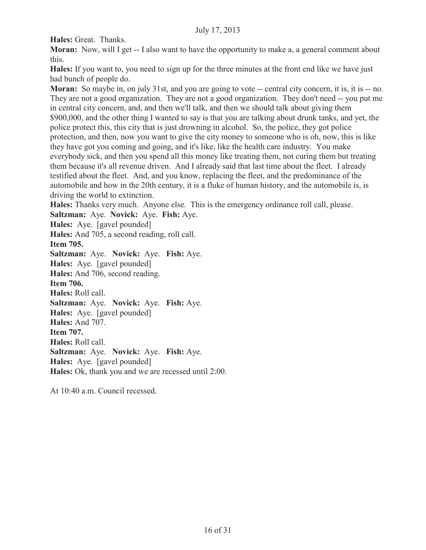**Hales:** Great. Thanks.

**Moran:** Now, will I get -- I also want to have the opportunity to make a, a general comment about this.

**Hales:** If you want to, you need to sign up for the three minutes at the front end like we have just had bunch of people do.

**Moran:** So maybe in, on july 31st, and you are going to vote -- central city concern, it is, it is -- no. They are not a good organization. They are not a good organization. They don't need -- you put me in central city concern, and, and then we'll talk, and then we should talk about giving them \$900,000, and the other thing I wanted to say is that you are talking about drunk tanks, and yet, the police protect this, this city that is just drowning in alcohol. So, the police, they got police protection, and then, now you want to give the city money to someone who is oh, now, this is like they have got you coming and going, and it's like, like the health care industry. You make everybody sick, and then you spend all this money like treating them, not curing them but treating them because it's all revenue driven. And I already said that last time about the fleet. I already testified about the fleet. And, and you know, replacing the fleet, and the predominance of the automobile and how in the 20th century, it is a fluke of human history, and the automobile is, is driving the world to extinction.

**Hales:** Thanks very much. Anyone else. This is the emergency ordinance roll call, please.

**Saltzman:** Aye. **Novick:** Aye. **Fish:** Aye.

**Hales:** Aye. [gavel pounded]

**Hales:** And 705, a second reading, roll call. **Item 705.** 

**Saltzman:** Aye. **Novick:** Aye. **Fish:** Aye. **Hales:** Aye. [gavel pounded] **Hales:** And 706, second reading. **Item 706. Hales:** Roll call. **Saltzman:** Aye. **Novick:** Aye. **Fish:** Aye. **Hales:** Aye. [gavel pounded] **Hales:** And 707. **Item 707. Hales:** Roll call. **Saltzman:** Aye. **Novick:** Aye. **Fish:** Aye. **Hales:** Aye. [gavel pounded] **Hales:** Ok, thank you and we are recessed until 2:00.

At 10:40 a.m. Council recessed.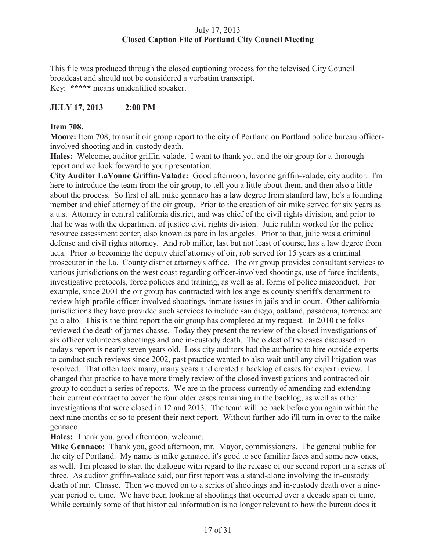# July 17, 2013 **Closed Caption File of Portland City Council Meeting**

This file was produced through the closed captioning process for the televised City Council broadcast and should not be considered a verbatim transcript. Key: **\*\*\*\*\*** means unidentified speaker.

# **JULY 17, 2013 2:00 PM**

# **Item 708.**

**Moore:** Item 708, transmit oir group report to the city of Portland on Portland police bureau officerinvolved shooting and in-custody death.

**Hales:** Welcome, auditor griffin-valade. I want to thank you and the oir group for a thorough report and we look forward to your presentation.

**City Auditor LaVonne Griffin-Valade:** Good afternoon, lavonne griffin-valade, city auditor. I'm here to introduce the team from the oir group, to tell you a little about them, and then also a little about the process. So first of all, mike gennaco has a law degree from stanford law, he's a founding member and chief attorney of the oir group. Prior to the creation of oir mike served for six years as a u.s. Attorney in central california district, and was chief of the civil rights division, and prior to that he was with the department of justice civil rights division. Julie ruhlin worked for the police resource assessment center, also known as parc in los angeles. Prior to that, julie was a criminal defense and civil rights attorney. And rob miller, last but not least of course, has a law degree from ucla. Prior to becoming the deputy chief attorney of oir, rob served for 15 years as a criminal prosecutor in the l.a. County district attorney's office. The oir group provides consultant services to various jurisdictions on the west coast regarding officer-involved shootings, use of force incidents, investigative protocols, force policies and training, as well as all forms of police misconduct. For example, since 2001 the oir group has contracted with los angeles county sheriff's department to review high-profile officer-involved shootings, inmate issues in jails and in court. Other california jurisdictions they have provided such services to include san diego, oakland, pasadena, torrence and palo alto. This is the third report the oir group has completed at my request. In 2010 the folks reviewed the death of james chasse. Today they present the review of the closed investigations of six officer volunteers shootings and one in-custody death. The oldest of the cases discussed in today's report is nearly seven years old. Loss city auditors had the authority to hire outside experts to conduct such reviews since 2002, past practice wanted to also wait until any civil litigation was resolved. That often took many, many years and created a backlog of cases for expert review. I changed that practice to have more timely review of the closed investigations and contracted oir group to conduct a series of reports. We are in the process currently of amending and extending their current contract to cover the four older cases remaining in the backlog, as well as other investigations that were closed in 12 and 2013. The team will be back before you again within the next nine months or so to present their next report. Without further ado i'll turn in over to the mike gennaco.

**Hales:** Thank you, good afternoon, welcome.

**Mike Gennaco:** Thank you, good afternoon, mr. Mayor, commissioners. The general public for the city of Portland. My name is mike gennaco, it's good to see familiar faces and some new ones, as well. I'm pleased to start the dialogue with regard to the release of our second report in a series of three. As auditor griffin-valade said, our first report was a stand-alone involving the in-custody death of mr. Chasse. Then we moved on to a series of shootings and in-custody death over a nineyear period of time. We have been looking at shootings that occurred over a decade span of time. While certainly some of that historical information is no longer relevant to how the bureau does it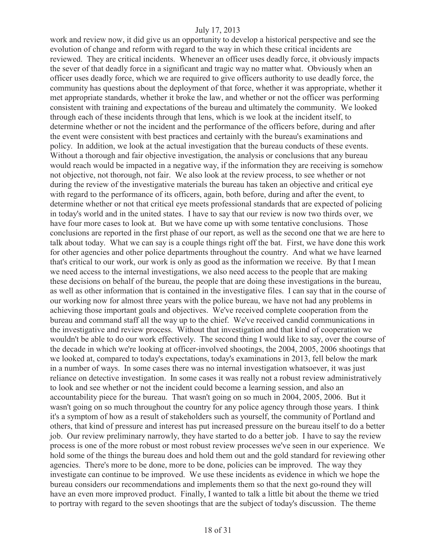work and review now, it did give us an opportunity to develop a historical perspective and see the evolution of change and reform with regard to the way in which these critical incidents are reviewed. They are critical incidents. Whenever an officer uses deadly force, it obviously impacts the sever of that deadly force in a significant and tragic way no matter what. Obviously when an officer uses deadly force, which we are required to give officers authority to use deadly force, the community has questions about the deployment of that force, whether it was appropriate, whether it met appropriate standards, whether it broke the law, and whether or not the officer was performing consistent with training and expectations of the bureau and ultimately the community. We looked through each of these incidents through that lens, which is we look at the incident itself, to determine whether or not the incident and the performance of the officers before, during and after the event were consistent with best practices and certainly with the bureau's examinations and policy. In addition, we look at the actual investigation that the bureau conducts of these events. Without a thorough and fair objective investigation, the analysis or conclusions that any bureau would reach would be impacted in a negative way, if the information they are receiving is somehow not objective, not thorough, not fair. We also look at the review process, to see whether or not during the review of the investigative materials the bureau has taken an objective and critical eye with regard to the performance of its officers, again, both before, during and after the event, to determine whether or not that critical eye meets professional standards that are expected of policing in today's world and in the united states. I have to say that our review is now two thirds over, we have four more cases to look at. But we have come up with some tentative conclusions. Those conclusions are reported in the first phase of our report, as well as the second one that we are here to talk about today. What we can say is a couple things right off the bat. First, we have done this work for other agencies and other police departments throughout the country. And what we have learned that's critical to our work, our work is only as good as the information we receive. By that I mean we need access to the internal investigations, we also need access to the people that are making these decisions on behalf of the bureau, the people that are doing these investigations in the bureau, as well as other information that is contained in the investigative files. I can say that in the course of our working now for almost three years with the police bureau, we have not had any problems in achieving those important goals and objectives. We've received complete cooperation from the bureau and command staff all the way up to the chief. We've received candid communications in the investigative and review process. Without that investigation and that kind of cooperation we wouldn't be able to do our work effectively. The second thing I would like to say, over the course of the decade in which we're looking at officer-involved shootings, the 2004, 2005, 2006 shootings that we looked at, compared to today's expectations, today's examinations in 2013, fell below the mark in a number of ways. In some cases there was no internal investigation whatsoever, it was just reliance on detective investigation. In some cases it was really not a robust review administratively to look and see whether or not the incident could become a learning session, and also an accountability piece for the bureau. That wasn't going on so much in 2004, 2005, 2006. But it wasn't going on so much throughout the country for any police agency through those years. I think it's a symptom of how as a result of stakeholders such as yourself, the community of Portland and others, that kind of pressure and interest has put increased pressure on the bureau itself to do a better job. Our review preliminary narrowly, they have started to do a better job. I have to say the review process is one of the more robust or most robust review processes we've seen in our experience. We hold some of the things the bureau does and hold them out and the gold standard for reviewing other agencies. There's more to be done, more to be done, policies can be improved. The way they investigate can continue to be improved. We use these incidents as evidence in which we hope the bureau considers our recommendations and implements them so that the next go-round they will have an even more improved product. Finally, I wanted to talk a little bit about the theme we tried to portray with regard to the seven shootings that are the subject of today's discussion. The theme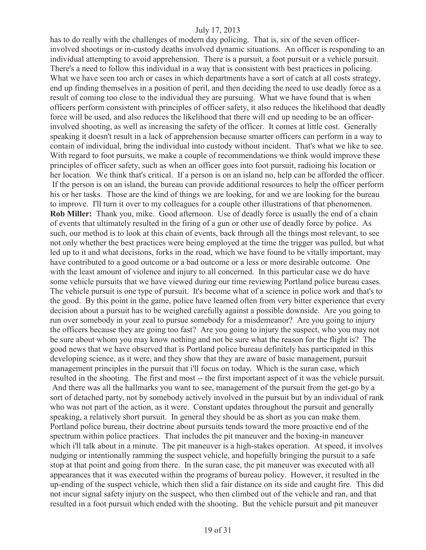has to do really with the challenges of modern day policing. That is, six of the seven officerinvolved shootings or in-custody deaths involved dynamic situations. An officer is responding to an individual attempting to avoid apprehension. There is a pursuit, a foot pursuit or a vehicle pursuit. There's a need to follow this individual in a way that is consistent with best practices in policing. What we have seen too arch or cases in which departments have a sort of catch at all costs strategy, end up finding themselves in a position of peril, and then deciding the need to use deadly force as a result of coming too close to the individual they are pursuing. What we have found that is when officers perform consistent with principles of officer safety, it also reduces the likelihood that deadly force will be used, and also reduces the likelihood that there will end up needing to be an officerinvolved shooting, as well as increasing the safety of the officer. It comes at little cost. Generally speaking it doesn't result in a lack of apprehension because smarter officers can perform in a way to contain of individual, bring the individual into custody without incident. That's what we like to see. With regard to foot pursuits, we make a couple of recommendations we think would improve these principles of officer safety, such as when an officer goes into foot pursuit, radioing his location or her location. We think that's critical. If a person is on an island no, help can be afforded the officer. If the person is on an island, the bureau can provide additional resources to help the officer perform his or her tasks. Those are the kind of things we are looking, for and we are looking for the bureau to improve. I'll turn it over to my colleagues for a couple other illustrations of that phenomenon. **Rob Miller:** Thank you, mike. Good afternoon. Use of deadly force is usually the end of a chain of events that ultimately resulted in the firing of a gun or other use of deadly force by police. As such, our method is to look at this chain of events, back through all the things most relevant, to see not only whether the best practices were being employed at the time the trigger was pulled, but what led up to it and what decisions, forks in the road, which we have found to be vitally important, may have contributed to a good outcome or a bad outcome or a less or more desirable outcome. One with the least amount of violence and injury to all concerned. In this particular case we do have some vehicle pursuits that we have viewed during our time reviewing Portland police bureau cases. The vehicle pursuit is one type of pursuit. It's become what of a science in police work and that's to the good. By this point in the game, police have learned often from very bitter experience that every decision about a pursuit has to be weighed carefully against a possible downside. Are you going to run over somebody in your zeal to pursue somebody for a misdemeanor? Are you going to injury the officers because they are going too fast? Are you going to injury the suspect, who you may not be sure about whom you may know nothing and not be sure what the reason for the flight is? The good news that we have observed that is Portland police bureau definitely has participated in this developing science, as it were, and they show that they are aware of basic management, pursuit management principles in the pursuit that i'll focus on today. Which is the suran case, which resulted in the shooting. The first and most -- the first important aspect of it was the vehicle pursuit. And there was all the hallmarks you want to see, management of the pursuit from the get-go by a sort of detached party, not by somebody actively involved in the pursuit but by an individual of rank who was not part of the action, as it were. Constant updates throughout the pursuit and generally speaking, a relatively short pursuit. In general they should be as short as you can make them. Portland police bureau, their doctrine about pursuits tends toward the more proactive end of the spectrum within police practices. That includes the pit maneuver and the boxing-in maneuver which i'll talk about in a minute. The pit maneuver is a high-stakes operation. At speed, it involves nudging or intentionally ramming the suspect vehicle, and hopefully bringing the pursuit to a safe stop at that point and going from there. In the suran case, the pit maneuver was executed with all appearances that it was executed within the programs of bureau policy. However, it resulted in the up-ending of the suspect vehicle, which then slid a fair distance on its side and caught fire. This did not incur signal safety injury on the suspect, who then climbed out of the vehicle and ran, and that resulted in a foot pursuit which ended with the shooting. But the vehicle pursuit and pit maneuver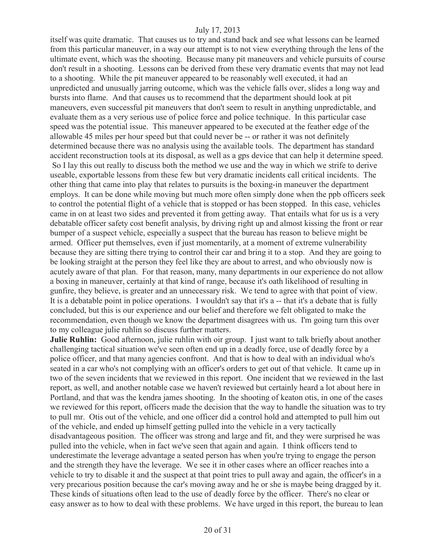itself was quite dramatic. That causes us to try and stand back and see what lessons can be learned from this particular maneuver, in a way our attempt is to not view everything through the lens of the ultimate event, which was the shooting. Because many pit maneuvers and vehicle pursuits of course don't result in a shooting. Lessons can be derived from these very dramatic events that may not lead to a shooting. While the pit maneuver appeared to be reasonably well executed, it had an unpredicted and unusually jarring outcome, which was the vehicle falls over, slides a long way and bursts into flame. And that causes us to recommend that the department should look at pit maneuvers, even successful pit maneuvers that don't seem to result in anything unpredictable, and evaluate them as a very serious use of police force and police technique. In this particular case speed was the potential issue. This maneuver appeared to be executed at the feather edge of the allowable 45 miles per hour speed but that could never be -- or rather it was not definitely determined because there was no analysis using the available tools. The department has standard accident reconstruction tools at its disposal, as well as a gps device that can help it determine speed. So I lay this out really to discuss both the method we use and the way in which we strife to derive useable, exportable lessons from these few but very dramatic incidents call critical incidents. The other thing that came into play that relates to pursuits is the boxing-in maneuver the department employs. It can be done while moving but much more often simply done when the ppb officers seek to control the potential flight of a vehicle that is stopped or has been stopped. In this case, vehicles came in on at least two sides and prevented it from getting away. That entails what for us is a very debatable officer safety cost benefit analysis, by driving right up and almost kissing the front or rear bumper of a suspect vehicle, especially a suspect that the bureau has reason to believe might be armed. Officer put themselves, even if just momentarily, at a moment of extreme vulnerability because they are sitting there trying to control their car and bring it to a stop. And they are going to be looking straight at the person they feel like they are about to arrest, and who obviously now is acutely aware of that plan. For that reason, many, many departments in our experience do not allow a boxing in maneuver, certainly at that kind of range, because it's oath likelihood of resulting in gunfire, they believe, is greater and an unnecessary risk. We tend to agree with that point of view. It is a debatable point in police operations. I wouldn't say that it's a -- that it's a debate that is fully concluded, but this is our experience and our belief and therefore we felt obligated to make the recommendation, even though we know the department disagrees with us. I'm going turn this over

to my colleague julie ruhlin so discuss further matters.

**Julie Ruhlin:** Good afternoon, julie ruhlin with oir group. I just want to talk briefly about another challenging tactical situation we've seen often end up in a deadly force, use of deadly force by a police officer, and that many agencies confront. And that is how to deal with an individual who's seated in a car who's not complying with an officer's orders to get out of that vehicle. It came up in two of the seven incidents that we reviewed in this report. One incident that we reviewed in the last report, as well, and another notable case we haven't reviewed but certainly heard a lot about here in Portland, and that was the kendra james shooting. In the shooting of keaton otis, in one of the cases we reviewed for this report, officers made the decision that the way to handle the situation was to try to pull mr. Otis out of the vehicle, and one officer did a control hold and attempted to pull him out of the vehicle, and ended up himself getting pulled into the vehicle in a very tactically disadvantageous position. The officer was strong and large and fit, and they were surprised he was pulled into the vehicle, when in fact we've seen that again and again. I think officers tend to underestimate the leverage advantage a seated person has when you're trying to engage the person and the strength they have the leverage. We see it in other cases where an officer reaches into a vehicle to try to disable it and the suspect at that point tries to pull away and again, the officer's in a very precarious position because the car's moving away and he or she is maybe being dragged by it. These kinds of situations often lead to the use of deadly force by the officer. There's no clear or easy answer as to how to deal with these problems. We have urged in this report, the bureau to lean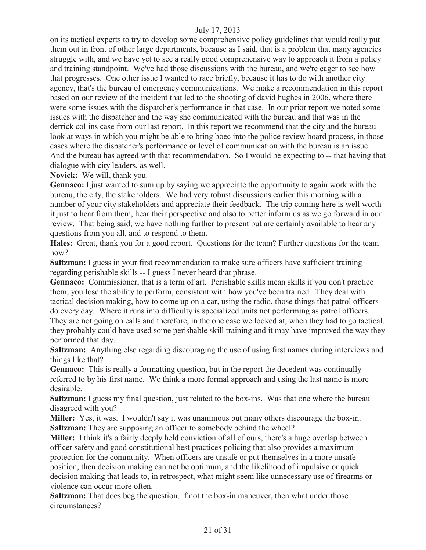on its tactical experts to try to develop some comprehensive policy guidelines that would really put them out in front of other large departments, because as I said, that is a problem that many agencies struggle with, and we have yet to see a really good comprehensive way to approach it from a policy and training standpoint. We've had those discussions with the bureau, and we're eager to see how that progresses. One other issue I wanted to race briefly, because it has to do with another city agency, that's the bureau of emergency communications. We make a recommendation in this report based on our review of the incident that led to the shooting of david hughes in 2006, where there were some issues with the dispatcher's performance in that case. In our prior report we noted some issues with the dispatcher and the way she communicated with the bureau and that was in the derrick collins case from our last report. In this report we recommend that the city and the bureau look at ways in which you might be able to bring boec into the police review board process, in those cases where the dispatcher's performance or level of communication with the bureau is an issue. And the bureau has agreed with that recommendation. So I would be expecting to -- that having that dialogue with city leaders, as well.

**Novick:** We will, thank you.

**Gennaco:** I just wanted to sum up by saying we appreciate the opportunity to again work with the bureau, the city, the stakeholders. We had very robust discussions earlier this morning with a number of your city stakeholders and appreciate their feedback. The trip coming here is well worth it just to hear from them, hear their perspective and also to better inform us as we go forward in our review. That being said, we have nothing further to present but are certainly available to hear any questions from you all, and to respond to them.

**Hales:** Great, thank you for a good report. Questions for the team? Further questions for the team now?

**Saltzman:** I guess in your first recommendation to make sure officers have sufficient training regarding perishable skills -- I guess I never heard that phrase.

**Gennaco:** Commissioner, that is a term of art. Perishable skills mean skills if you don't practice them, you lose the ability to perform, consistent with how you've been trained. They deal with tactical decision making, how to come up on a car, using the radio, those things that patrol officers do every day. Where it runs into difficulty is specialized units not performing as patrol officers. They are not going on calls and therefore, in the one case we looked at, when they had to go tactical, they probably could have used some perishable skill training and it may have improved the way they performed that day.

**Saltzman:** Anything else regarding discouraging the use of using first names during interviews and things like that?

**Gennaco:** This is really a formatting question, but in the report the decedent was continually referred to by his first name. We think a more formal approach and using the last name is more desirable.

**Saltzman:** I guess my final question, just related to the box-ins. Was that one where the bureau disagreed with you?

**Miller:** Yes, it was. I wouldn't say it was unanimous but many others discourage the box-in. **Saltzman:** They are supposing an officer to somebody behind the wheel?

**Miller:** I think it's a fairly deeply held conviction of all of ours, there's a huge overlap between officer safety and good constitutional best practices policing that also provides a maximum protection for the community. When officers are unsafe or put themselves in a more unsafe position, then decision making can not be optimum, and the likelihood of impulsive or quick decision making that leads to, in retrospect, what might seem like unnecessary use of firearms or violence can occur more often.

**Saltzman:** That does beg the question, if not the box-in maneuver, then what under those circumstances?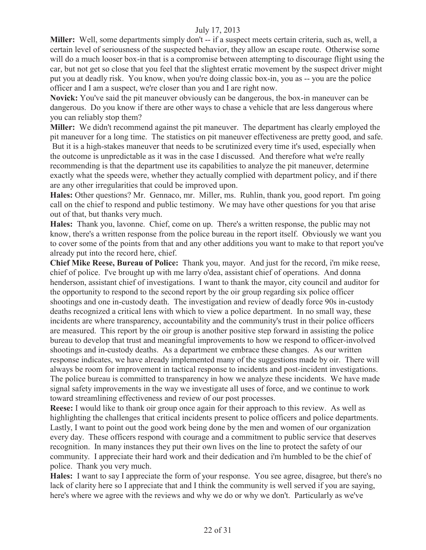**Miller:** Well, some departments simply don't -- if a suspect meets certain criteria, such as, well, a certain level of seriousness of the suspected behavior, they allow an escape route. Otherwise some will do a much looser box-in that is a compromise between attempting to discourage flight using the car, but not get so close that you feel that the slightest erratic movement by the suspect driver might put you at deadly risk. You know, when you're doing classic box-in, you as -- you are the police officer and I am a suspect, we're closer than you and I are right now.

**Novick:** You've said the pit maneuver obviously can be dangerous, the box-in maneuver can be dangerous. Do you know if there are other ways to chase a vehicle that are less dangerous where you can reliably stop them?

**Miller:** We didn't recommend against the pit maneuver. The department has clearly employed the pit maneuver for a long time. The statistics on pit maneuver effectiveness are pretty good, and safe. But it is a high-stakes maneuver that needs to be scrutinized every time it's used, especially when the outcome is unpredictable as it was in the case I discussed. And therefore what we're really recommending is that the department use its capabilities to analyze the pit maneuver, determine exactly what the speeds were, whether they actually complied with department policy, and if there are any other irregularities that could be improved upon.

**Hales:** Other questions? Mr. Gennaco, mr. Miller, ms. Ruhlin, thank you, good report. I'm going call on the chief to respond and public testimony. We may have other questions for you that arise out of that, but thanks very much.

**Hales:** Thank you, lavonne. Chief, come on up. There's a written response, the public may not know, there's a written response from the police bureau in the report itself. Obviously we want you to cover some of the points from that and any other additions you want to make to that report you've already put into the record here, chief.

**Chief Mike Reese, Bureau of Police:** Thank you, mayor. And just for the record, i'm mike reese, chief of police. I've brought up with me larry o'dea, assistant chief of operations. And donna henderson, assistant chief of investigations. I want to thank the mayor, city council and auditor for the opportunity to respond to the second report by the oir group regarding six police officer shootings and one in-custody death. The investigation and review of deadly force 90s in-custody deaths recognized a critical lens with which to view a police department. In no small way, these incidents are where transparency, accountability and the community's trust in their police officers are measured. This report by the oir group is another positive step forward in assisting the police bureau to develop that trust and meaningful improvements to how we respond to officer-involved shootings and in-custody deaths. As a department we embrace these changes. As our written response indicates, we have already implemented many of the suggestions made by oir. There will always be room for improvement in tactical response to incidents and post-incident investigations. The police bureau is committed to transparency in how we analyze these incidents. We have made signal safety improvements in the way we investigate all uses of force, and we continue to work toward streamlining effectiveness and review of our post processes.

**Reese:** I would like to thank oir group once again for their approach to this review. As well as highlighting the challenges that critical incidents present to police officers and police departments. Lastly, I want to point out the good work being done by the men and women of our organization every day. These officers respond with courage and a commitment to public service that deserves recognition. In many instances they put their own lives on the line to protect the safety of our community. I appreciate their hard work and their dedication and i'm humbled to be the chief of police. Thank you very much.

**Hales:** I want to say I appreciate the form of your response. You see agree, disagree, but there's no lack of clarity here so I appreciate that and I think the community is well served if you are saying, here's where we agree with the reviews and why we do or why we don't. Particularly as we've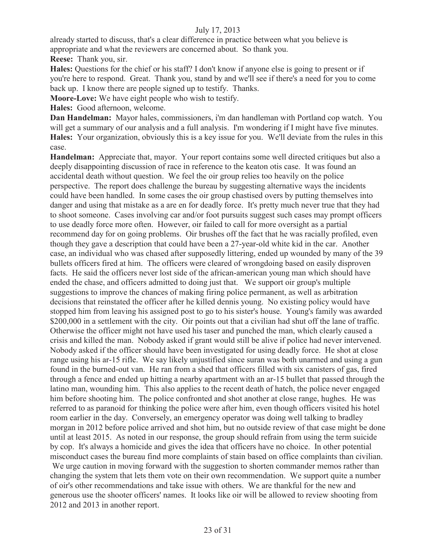already started to discuss, that's a clear difference in practice between what you believe is appropriate and what the reviewers are concerned about. So thank you.

**Reese:** Thank you, sir.

**Hales:** Questions for the chief or his staff? I don't know if anyone else is going to present or if you're here to respond. Great. Thank you, stand by and we'll see if there's a need for you to come back up. I know there are people signed up to testify. Thanks.

**Moore-Love:** We have eight people who wish to testify.

**Hales:** Good afternoon, welcome.

**Dan Handelman:** Mayor hales, commissioners, i'm dan handleman with Portland cop watch. You will get a summary of our analysis and a full analysis. I'm wondering if I might have five minutes. **Hales:** Your organization, obviously this is a key issue for you. We'll deviate from the rules in this case.

**Handelman:** Appreciate that, mayor. Your report contains some well directed critiques but also a deeply disappointing discussion of race in reference to the keaton otis case. It was found an accidental death without question. We feel the oir group relies too heavily on the police perspective. The report does challenge the bureau by suggesting alternative ways the incidents could have been handled. In some cases the oir group chastised overs by putting themselves into danger and using that mistake as a are en for deadly force. It's pretty much never true that they had to shoot someone. Cases involving car and/or foot pursuits suggest such cases may prompt officers to use deadly force more often. However, oir failed to call for more oversight as a partial recommend day for on going problems. Oir brushes off the fact that he was racially profiled, even though they gave a description that could have been a 27-year-old white kid in the car. Another case, an individual who was chased after supposedly littering, ended up wounded by many of the 39 bullets officers fired at him. The officers were cleared of wrongdoing based on easily disproven facts. He said the officers never lost side of the african-american young man which should have ended the chase, and officers admitted to doing just that. We support oir group's multiple suggestions to improve the chances of making firing police permanent, as well as arbitration decisions that reinstated the officer after he killed dennis young. No existing policy would have stopped him from leaving his assigned post to go to his sister's house. Young's family was awarded \$200,000 in a settlement with the city. Oir points out that a civilian had shut off the lane of traffic. Otherwise the officer might not have used his taser and punched the man, which clearly caused a crisis and killed the man. Nobody asked if grant would still be alive if police had never intervened. Nobody asked if the officer should have been investigated for using deadly force. He shot at close range using his ar-15 rifle. We say likely unjustified since suran was both unarmed and using a gun found in the burned-out van. He ran from a shed that officers filled with six canisters of gas, fired through a fence and ended up hitting a nearby apartment with an ar-15 bullet that passed through the latino man, wounding him. This also applies to the recent death of hatch, the police never engaged him before shooting him. The police confronted and shot another at close range, hughes. He was referred to as paranoid for thinking the police were after him, even though officers visited his hotel room earlier in the day. Conversely, an emergency operator was doing well talking to bradley morgan in 2012 before police arrived and shot him, but no outside review of that case might be done until at least 2015. As noted in our response, the group should refrain from using the term suicide by cop. It's always a homicide and gives the idea that officers have no choice. In other potential misconduct cases the bureau find more complaints of stain based on office complaints than civilian. We urge caution in moving forward with the suggestion to shorten commander memos rather than changing the system that lets them vote on their own recommendation. We support quite a number of oir's other recommendations and take issue with others. We are thankful for the new and generous use the shooter officers' names. It looks like oir will be allowed to review shooting from 2012 and 2013 in another report.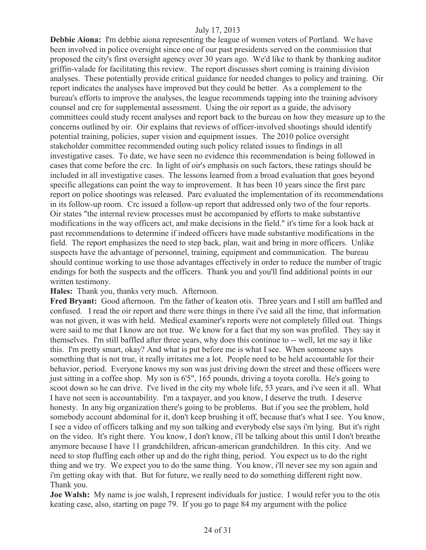**Debbie Aiona:** I'm debbie aiona representing the league of women voters of Portland. We have been involved in police oversight since one of our past presidents served on the commission that proposed the city's first oversight agency over 30 years ago. We'd like to thank by thanking auditor griffin-valade for facilitating this review. The report discusses short coming is training division analyses. These potentially provide critical guidance for needed changes to policy and training. Oir report indicates the analyses have improved but they could be better. As a complement to the bureau's efforts to improve the analyses, the league recommends tapping into the training advisory counsel and crc for supplemental assessment. Using the oir report as a guide, the advisory committees could study recent analyses and report back to the bureau on how they measure up to the concerns outlined by oir. Oir explains that reviews of officer-involved shootings should identify potential training, policies, super vision and equipment issues. The 2010 police oversight stakeholder committee recommended outing such policy related issues to findings in all investigative cases. To date, we have seen no evidence this recommendation is being followed in cases that come before the crc. In light of oir's emphasis on such factors, these ratings should be included in all investigative cases. The lessons learned from a broad evaluation that goes beyond specific allegations can point the way to improvement. It has been 10 years since the first parc report on police shootings was released. Parc evaluated the implementation of its recommendations in its follow-up room. Crc issued a follow-up report that addressed only two of the four reports. Oir states "the internal review processes must be accompanied by efforts to make substantive modifications in the way officers act, and make decisions in the field." it's time for a look back at past recommendations to determine if indeed officers have made substantive modifications in the field. The report emphasizes the need to step back, plan, wait and bring in more officers. Unlike suspects have the advantage of personnel, training, equipment and communication. The bureau should continue working to use those advantages effectively in order to reduce the number of tragic endings for both the suspects and the officers. Thank you and you'll find additional points in our written testimony.

**Hales:** Thank you, thanks very much. Afternoon.

**Fred Bryant:** Good afternoon. I'm the father of keaton otis. Three years and I still am baffled and confused. I read the oir report and there were things in there i've said all the time, that information was not given, it was with held. Medical examiner's reports were not completely filled out. Things were said to me that I know are not true. We know for a fact that my son was profiled. They say it themselves. I'm still baffled after three years, why does this continue to -- well, let me say it like this. I'm pretty smart, okay? And what is put before me is what I see. When someone says something that is not true, it really irritates me a lot. People need to be held accountable for their behavior, period. Everyone knows my son was just driving down the street and these officers were just sitting in a coffee shop. My son is 6'5", 165 pounds, driving a toyota corolla. He's going to scoot down so he can drive. I've lived in the city my whole life, 53 years, and i've seen it all. What I have not seen is accountability. I'm a taxpayer, and you know, I deserve the truth. I deserve honesty. In any big organization there's going to be problems. But if you see the problem, hold somebody account abdominal for it, don't keep brushing it off, because that's what I see. You know, I see a video of officers talking and my son talking and everybody else says i'm lying. But it's right on the video. It's right there. You know, I don't know, i'll be talking about this until I don't breathe anymore because I have 11 grandchildren, african-american grandchildren. In this city. And we need to stop fluffing each other up and do the right thing, period. You expect us to do the right thing and we try. We expect you to do the same thing. You know, i'll never see my son again and i'm getting okay with that. But for future, we really need to do something different right now. Thank you.

**Joe Walsh:** My name is joe walsh, I represent individuals for justice. I would refer you to the otis keating case, also, starting on page 79. If you go to page 84 my argument with the police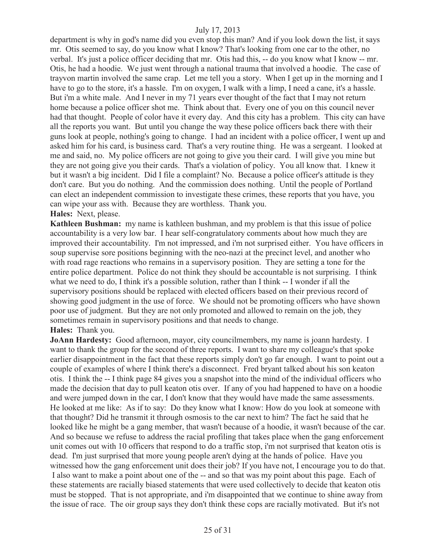department is why in god's name did you even stop this man? And if you look down the list, it says mr. Otis seemed to say, do you know what I know? That's looking from one car to the other, no verbal. It's just a police officer deciding that mr. Otis had this, -- do you know what I know -- mr. Otis, he had a hoodie. We just went through a national trauma that involved a hoodie. The case of trayvon martin involved the same crap. Let me tell you a story. When I get up in the morning and I have to go to the store, it's a hassle. I'm on oxygen, I walk with a limp, I need a cane, it's a hassle. But i'm a white male. And I never in my 71 years ever thought of the fact that I may not return home because a police officer shot me. Think about that. Every one of you on this council never had that thought. People of color have it every day. And this city has a problem. This city can have all the reports you want. But until you change the way these police officers back there with their guns look at people, nothing's going to change. I had an incident with a police officer, I went up and asked him for his card, is business card. That's a very routine thing. He was a sergeant. I looked at me and said, no. My police officers are not going to give you their card. I will give you mine but they are not going give you their cards. That's a violation of policy. You all know that. I knew it but it wasn't a big incident. Did I file a complaint? No. Because a police officer's attitude is they don't care. But you do nothing. And the commission does nothing. Until the people of Portland can elect an independent commission to investigate these crimes, these reports that you have, you can wipe your ass with. Because they are worthless. Thank you. **Hales:** Next, please.

**Kathleen Bushman:** my name is kathleen bushman, and my problem is that this issue of police accountability is a very low bar. I hear self-congratulatory comments about how much they are improved their accountability. I'm not impressed, and i'm not surprised either. You have officers in soup supervise sore positions beginning with the neo-nazi at the precinct level, and another who with road rage reactions who remains in a supervisory position. They are setting a tone for the entire police department. Police do not think they should be accountable is not surprising. I think what we need to do, I think it's a possible solution, rather than I think -- I wonder if all the supervisory positions should be replaced with elected officers based on their previous record of showing good judgment in the use of force. We should not be promoting officers who have shown poor use of judgment. But they are not only promoted and allowed to remain on the job, they sometimes remain in supervisory positions and that needs to change.

#### **Hales:** Thank you.

**JoAnn Hardesty:** Good afternoon, mayor, city councilmembers, my name is joann hardesty. I want to thank the group for the second of three reports. I want to share my colleague's that spoke earlier disappointment in the fact that these reports simply don't go far enough. I want to point out a couple of examples of where I think there's a disconnect. Fred bryant talked about his son keaton otis. I think the -- I think page 84 gives you a snapshot into the mind of the individual officers who made the decision that day to pull keaton otis over. If any of you had happened to have on a hoodie and were jumped down in the car, I don't know that they would have made the same assessments. He looked at me like: As if to say: Do they know what I know: How do you look at someone with that thought? Did he transmit it through osmosis to the car next to him? The fact he said that he looked like he might be a gang member, that wasn't because of a hoodie, it wasn't because of the car. And so because we refuse to address the racial profiling that takes place when the gang enforcement unit comes out with 10 officers that respond to do a traffic stop, i'm not surprised that keaton otis is dead. I'm just surprised that more young people aren't dying at the hands of police. Have you witnessed how the gang enforcement unit does their job? If you have not, I encourage you to do that. I also want to make a point about one of the -- and so that was my point about this page. Each of these statements are racially biased statements that were used collectively to decide that keaton otis must be stopped. That is not appropriate, and i'm disappointed that we continue to shine away from the issue of race. The oir group says they don't think these cops are racially motivated. But it's not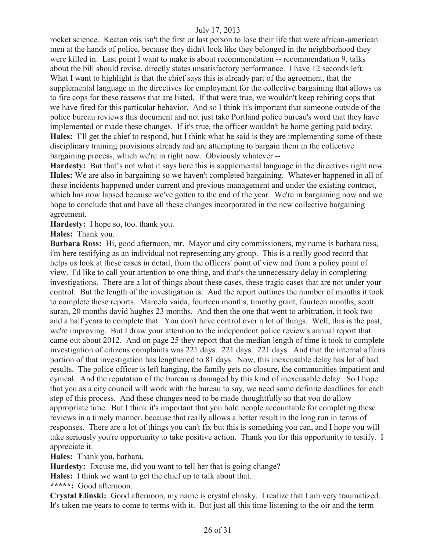rocket science. Keaton otis isn't the first or last person to lose their life that were african-american men at the hands of police, because they didn't look like they belonged in the neighborhood they were killed in. Last point I want to make is about recommendation -- recommendation 9, talks about the bill should revise, directly states unsatisfactory performance. I have 12 seconds left. What I want to highlight is that the chief says this is already part of the agreement, that the supplemental language in the directives for employment for the collective bargaining that allows us to fire cops for these reasons that are listed. If that were true, we wouldn't keep rehiring cops that we have fired for this particular behavior. And so I think it's important that someone outside of the police bureau reviews this document and not just take Portland police bureau's word that they have implemented or made these changes. If it's true, the officer wouldn't be home getting paid today. **Hales:** I'll get the chief to respond, but I think what he said is they are implementing some of these disciplinary training provisions already and are attempting to bargain them in the collective bargaining process, which we're in right now. Obviously whatever --

**Hardesty:** But that's not what it says here this is supplemental language in the directives right now. **Hales:** We are also in bargaining so we haven't completed bargaining. Whatever happened in all of these incidents happened under current and previous management and under the existing contract, which has now lapsed because we've gotten to the end of the year. We're in bargaining now and we hope to conclude that and have all these changes incorporated in the new collective bargaining agreement.

**Hardesty:** I hope so, too. thank you.

**Hales:** Thank you.

**Barbara Ross:** Hi, good afternoon, mr. Mayor and city commissioners, my name is barbara ross, i'm here testifying as an individual not representing any group. This is a really good record that helps us look at these cases in detail, from the officers' point of view and from a policy point of view. I'd like to call your attention to one thing, and that's the unnecessary delay in completing investigations. There are a lot of things about these cases, these tragic cases that are not under your control. But the length of the investigation is. And the report outlines the number of months it took to complete these reports. Marcelo vaida, fourteen months, timothy grant, fourteen months, scott suran, 20 months david hughes 23 months. And then the one that went to arbitration, it took two and a half years to complete that. You don't have control over a lot of things. Well, this is the past, we're improving. But I draw your attention to the independent police review's annual report that came out about 2012. And on page 25 they report that the median length of time it took to complete investigation of citizens complaints was 221 days. 221 days. 221 days. And that the internal affairs portion of that investigation has lengthened to 81 days. Now, this inexcusable delay has lot of bad results. The police officer is left hanging, the family gets no closure, the communities impatient and cynical. And the reputation of the bureau is damaged by this kind of inexcusable delay. So I hope that you as a city council will work with the bureau to say, we need some definite deadlines for each step of this process. And these changes need to be made thoughtfully so that you do allow appropriate time. But I think it's important that you hold people accountable for completing these reviews in a timely manner, because that really allows a better result in the long run in terms of responses. There are a lot of things you can't fix but this is something you can, and I hope you will take seriously you're opportunity to take positive action. Thank you for this opportunity to testify. I appreciate it.

**Hales:** Thank you, barbara.

**Hardesty:** Excuse me, did you want to tell her that is going change?

**Hales:** I think we want to get the chief up to talk about that.

**\*\*\*\*\*:** Good afternoon.

**Crystal Elinski:** Good afternoon, my name is crystal elinsky. I realize that I am very traumatized. It's taken me years to come to terms with it. But just all this time listening to the oir and the term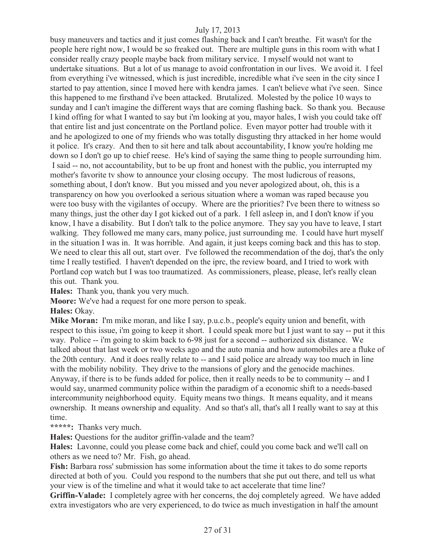busy maneuvers and tactics and it just comes flashing back and I can't breathe. Fit wasn't for the people here right now, I would be so freaked out. There are multiple guns in this room with what I consider really crazy people maybe back from military service. I myself would not want to undertake situations. But a lot of us manage to avoid confrontation in our lives. We avoid it. I feel from everything i've witnessed, which is just incredible, incredible what i've seen in the city since I started to pay attention, since I moved here with kendra james. I can't believe what i've seen. Since this happened to me firsthand i've been attacked. Brutalized. Molested by the police 10 ways to sunday and I can't imagine the different ways that are coming flashing back. So thank you. Because I kind offing for what I wanted to say but i'm looking at you, mayor hales, I wish you could take off that entire list and just concentrate on the Portland police. Even mayor potter had trouble with it and he apologized to one of my friends who was totally disgusting thry attacked in her home would it police. It's crazy. And then to sit here and talk about accountability, I know you're holding me down so I don't go up to chief reese. He's kind of saying the same thing to people surrounding him. I said -- no, not accountability, but to be up front and honest with the public, you interrupted my mother's favorite tv show to announce your closing occupy. The most ludicrous of reasons, something about, I don't know. But you missed and you never apologized about, oh, this is a transparency on how you overlooked a serious situation where a woman was raped because you were too busy with the vigilantes of occupy. Where are the priorities? I've been there to witness so many things, just the other day I got kicked out of a park. I fell asleep in, and I don't know if you know, I have a disability. But I don't talk to the police anymore. They say you have to leave, I start walking. They followed me many cars, many police, just surrounding me. I could have hurt myself in the situation I was in. It was horrible. And again, it just keeps coming back and this has to stop. We need to clear this all out, start over. I've followed the recommendation of the doj, that's the only time I really testified. I haven't depended on the iprc, the review board, and I tried to work with Portland cop watch but I was too traumatized. As commissioners, please, please, let's really clean this out. Thank you.

**Hales:** Thank you, thank you very much.

**Moore:** We've had a request for one more person to speak.

**Hales:** Okay.

**Mike Moran:** I'm mike moran, and like I say, p.u.c.b., people's equity union and benefit, with respect to this issue, i'm going to keep it short. I could speak more but I just want to say -- put it this way. Police -- i'm going to skim back to 6-98 just for a second -- authorized six distance. We talked about that last week or two weeks ago and the auto mania and how automobiles are a fluke of the 20th century. And it does really relate to -- and I said police are already way too much in line with the mobility nobility. They drive to the mansions of glory and the genocide machines. Anyway, if there is to be funds added for police, then it really needs to be to community -- and I would say, unarmed community police within the paradigm of a economic shift to a needs-based intercommunity neighborhood equity. Equity means two things. It means equality, and it means ownership. It means ownership and equality. And so that's all, that's all I really want to say at this time.

**\*\*\*\*\*:** Thanks very much.

**Hales:** Questions for the auditor griffin-valade and the team?

**Hales:** Lavonne, could you please come back and chief, could you come back and we'll call on others as we need to? Mr. Fish, go ahead.

**Fish:** Barbara ross' submission has some information about the time it takes to do some reports directed at both of you. Could you respond to the numbers that she put out there, and tell us what your view is of the timeline and what it would take to act accelerate that time line?

**Griffin-Valade:** I completely agree with her concerns, the doj completely agreed. We have added extra investigators who are very experienced, to do twice as much investigation in half the amount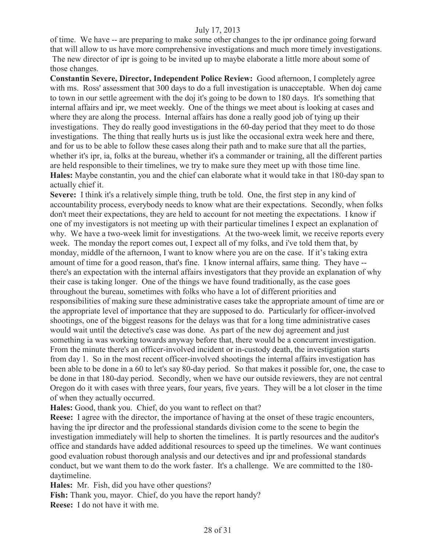of time. We have -- are preparing to make some other changes to the ipr ordinance going forward that will allow to us have more comprehensive investigations and much more timely investigations. The new director of ipr is going to be invited up to maybe elaborate a little more about some of those changes.

**Constantin Severe, Director, Independent Police Review:** Good afternoon, I completely agree with ms. Ross' assessment that 300 days to do a full investigation is unacceptable. When doj came to town in our settle agreement with the doj it's going to be down to 180 days. It's something that internal affairs and ipr, we meet weekly. One of the things we meet about is looking at cases and where they are along the process. Internal affairs has done a really good job of tying up their investigations. They do really good investigations in the 60-day period that they meet to do those investigations. The thing that really hurts us is just like the occasional extra week here and there, and for us to be able to follow these cases along their path and to make sure that all the parties, whether it's ipr, ia, folks at the bureau, whether it's a commander or training, all the different parties are held responsible to their timelines, we try to make sure they meet up with those time line. **Hales:** Maybe constantin, you and the chief can elaborate what it would take in that 180-day span to actually chief it.

**Severe:** I think it's a relatively simple thing, truth be told. One, the first step in any kind of accountability process, everybody needs to know what are their expectations. Secondly, when folks don't meet their expectations, they are held to account for not meeting the expectations. I know if one of my investigators is not meeting up with their particular timelines I expect an explanation of why. We have a two-week limit for investigations. At the two-week limit, we receive reports every week. The monday the report comes out, I expect all of my folks, and i've told them that, by monday, middle of the afternoon, I want to know where you are on the case. If it's taking extra amount of time for a good reason, that's fine. I know internal affairs, same thing. They have - there's an expectation with the internal affairs investigators that they provide an explanation of why their case is taking longer. One of the things we have found traditionally, as the case goes throughout the bureau, sometimes with folks who have a lot of different priorities and responsibilities of making sure these administrative cases take the appropriate amount of time are or the appropriate level of importance that they are supposed to do. Particularly for officer-involved shootings, one of the biggest reasons for the delays was that for a long time administrative cases would wait until the detective's case was done. As part of the new doj agreement and just something ia was working towards anyway before that, there would be a concurrent investigation. From the minute there's an officer-involved incident or in-custody death, the investigation starts from day 1. So in the most recent officer-involved shootings the internal affairs investigation has been able to be done in a 60 to let's say 80-day period. So that makes it possible for, one, the case to be done in that 180-day period. Secondly, when we have our outside reviewers, they are not central Oregon do it with cases with three years, four years, five years. They will be a lot closer in the time of when they actually occurred.

**Hales:** Good, thank you. Chief, do you want to reflect on that?

**Reese:** I agree with the director, the importance of having at the onset of these tragic encounters, having the ipr director and the professional standards division come to the scene to begin the investigation immediately will help to shorten the timelines. It is partly resources and the auditor's office and standards have added additional resources to speed up the timelines. We want continues good evaluation robust thorough analysis and our detectives and ipr and professional standards conduct, but we want them to do the work faster. It's a challenge. We are committed to the 180 daytimeline.

**Hales:** Mr. Fish, did you have other questions?

**Fish:** Thank you, mayor. Chief, do you have the report handy? **Reese:** I do not have it with me.

28 of 31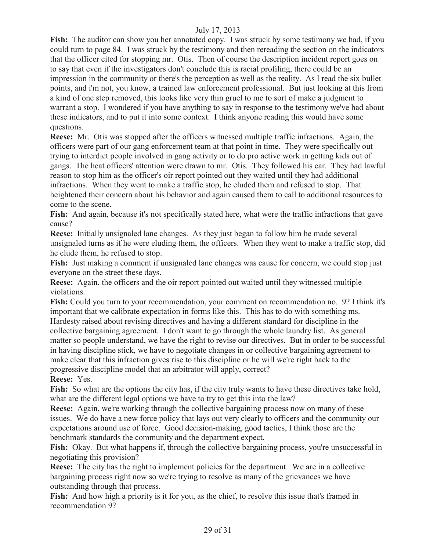**Fish:** The auditor can show you her annotated copy. I was struck by some testimony we had, if you could turn to page 84. I was struck by the testimony and then rereading the section on the indicators that the officer cited for stopping mr. Otis. Then of course the description incident report goes on to say that even if the investigators don't conclude this is racial profiling, there could be an impression in the community or there's the perception as well as the reality. As I read the six bullet points, and i'm not, you know, a trained law enforcement professional. But just looking at this from a kind of one step removed, this looks like very thin gruel to me to sort of make a judgment to warrant a stop. I wondered if you have anything to say in response to the testimony we've had about these indicators, and to put it into some context. I think anyone reading this would have some questions.

**Reese:** Mr. Otis was stopped after the officers witnessed multiple traffic infractions. Again, the officers were part of our gang enforcement team at that point in time. They were specifically out trying to interdict people involved in gang activity or to do pro active work in getting kids out of gangs. The heat officers' attention were drawn to mr. Otis. They followed his car. They had lawful reason to stop him as the officer's oir report pointed out they waited until they had additional infractions. When they went to make a traffic stop, he eluded them and refused to stop. That heightened their concern about his behavior and again caused them to call to additional resources to come to the scene.

Fish: And again, because it's not specifically stated here, what were the traffic infractions that gave cause?

**Reese:** Initially unsignaled lane changes. As they just began to follow him he made several unsignaled turns as if he were eluding them, the officers. When they went to make a traffic stop, did he elude them, he refused to stop.

Fish: Just making a comment if unsignaled lane changes was cause for concern, we could stop just everyone on the street these days.

**Reese:** Again, the officers and the oir report pointed out waited until they witnessed multiple violations.

**Fish:** Could you turn to your recommendation, your comment on recommendation no. 9? I think it's important that we calibrate expectation in forms like this. This has to do with something ms. Hardesty raised about revising directives and having a different standard for discipline in the collective bargaining agreement. I don't want to go through the whole laundry list. As general matter so people understand, we have the right to revise our directives. But in order to be successful in having discipline stick, we have to negotiate changes in or collective bargaining agreement to make clear that this infraction gives rise to this discipline or he will we're right back to the progressive discipline model that an arbitrator will apply, correct? **Reese:** Yes.

Fish: So what are the options the city has, if the city truly wants to have these directives take hold, what are the different legal options we have to try to get this into the law?

**Reese:** Again, we're working through the collective bargaining process now on many of these issues. We do have a new force policy that lays out very clearly to officers and the community our expectations around use of force. Good decision-making, good tactics, I think those are the benchmark standards the community and the department expect.

**Fish:** Okay. But what happens if, through the collective bargaining process, you're unsuccessful in negotiating this provision?

**Reese:** The city has the right to implement policies for the department. We are in a collective bargaining process right now so we're trying to resolve as many of the grievances we have outstanding through that process.

Fish: And how high a priority is it for you, as the chief, to resolve this issue that's framed in recommendation 9?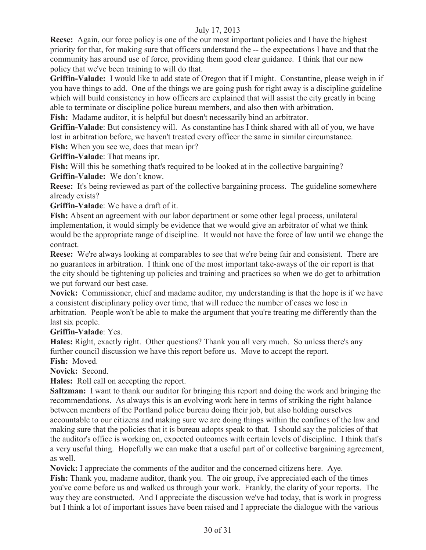**Reese:** Again, our force policy is one of the our most important policies and I have the highest priority for that, for making sure that officers understand the -- the expectations I have and that the community has around use of force, providing them good clear guidance. I think that our new policy that we've been training to will do that.

**Griffin-Valade:** I would like to add state of Oregon that if I might. Constantine, please weigh in if you have things to add. One of the things we are going push for right away is a discipline guideline which will build consistency in how officers are explained that will assist the city greatly in being able to terminate or discipline police bureau members, and also then with arbitration.

**Fish:** Madame auditor, it is helpful but doesn't necessarily bind an arbitrator.

**Griffin-Valade**: But consistency will. As constantine has I think shared with all of you, we have lost in arbitration before, we haven't treated every officer the same in similar circumstance.

**Fish:** When you see we, does that mean ipr?

**Griffin-Valade**: That means ipr.

**Fish:** Will this be something that's required to be looked at in the collective bargaining?

**Griffin-Valade:** We don't know.

**Reese:** It's being reviewed as part of the collective bargaining process. The guideline somewhere already exists?

**Griffin-Valade**: We have a draft of it.

**Fish:** Absent an agreement with our labor department or some other legal process, unilateral implementation, it would simply be evidence that we would give an arbitrator of what we think would be the appropriate range of discipline. It would not have the force of law until we change the contract.

**Reese:** We're always looking at comparables to see that we're being fair and consistent. There are no guarantees in arbitration. I think one of the most important take-aways of the oir report is that the city should be tightening up policies and training and practices so when we do get to arbitration we put forward our best case.

**Novick:** Commissioner, chief and madame auditor, my understanding is that the hope is if we have a consistent disciplinary policy over time, that will reduce the number of cases we lose in arbitration. People won't be able to make the argument that you're treating me differently than the last six people.

**Griffin-Valade**: Yes.

**Hales:** Right, exactly right. Other questions? Thank you all very much. So unless there's any further council discussion we have this report before us. Move to accept the report. **Fish:** Moved.

**Novick:** Second.

**Hales:** Roll call on accepting the report.

**Saltzman:** I want to thank our auditor for bringing this report and doing the work and bringing the recommendations. As always this is an evolving work here in terms of striking the right balance between members of the Portland police bureau doing their job, but also holding ourselves accountable to our citizens and making sure we are doing things within the confines of the law and making sure that the policies that it is bureau adopts speak to that. I should say the policies of that the auditor's office is working on, expected outcomes with certain levels of discipline. I think that's a very useful thing. Hopefully we can make that a useful part of or collective bargaining agreement, as well.

**Novick:** I appreciate the comments of the auditor and the concerned citizens here. Aye.

**Fish:** Thank you, madame auditor, thank you. The oir group, i've appreciated each of the times you've come before us and walked us through your work. Frankly, the clarity of your reports. The way they are constructed. And I appreciate the discussion we've had today, that is work in progress but I think a lot of important issues have been raised and I appreciate the dialogue with the various